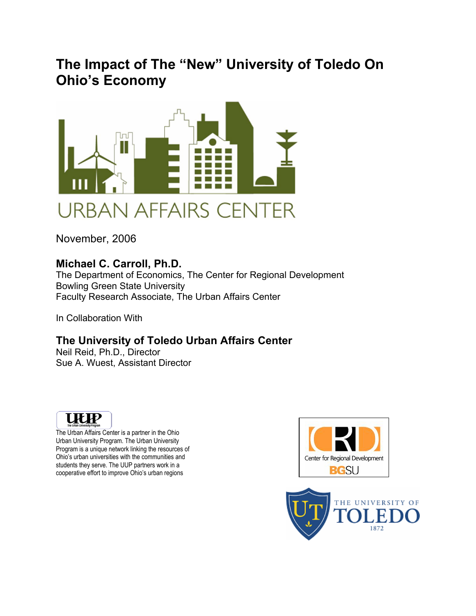# **The Impact of The "New" University of Toledo On Ohio's Economy**



November, 2006

## **Michael C. Carroll, Ph.D.**

The Department of Economics, The Center for Regional Development Bowling Green State University Faculty Research Associate, The Urban Affairs Center

In Collaboration With

## **The University of Toledo Urban Affairs Center**

Neil Reid, Ph.D., Director Sue A. Wuest, Assistant Director



The Urban Affairs Center is a partner in the Ohio Urban University Program. The Urban University Program is a unique network linking the resources of Ohio's urban universities with the communities and students they serve. The UUP partners work in a cooperative effort to improve Ohio's urban regions



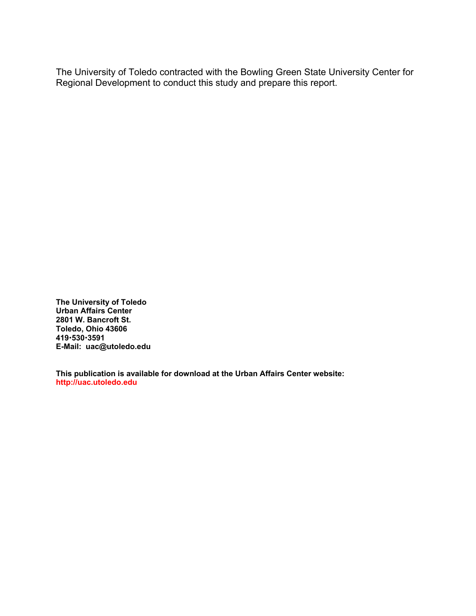The University of Toledo contracted with the Bowling Green State University Center for Regional Development to conduct this study and prepare this report.

**The University of Toledo Urban Affairs Center 2801 W. Bancroft St. Toledo, Ohio 43606 419**x**530**x**3591 E-Mail: uac@utoledo.edu** 

**This publication is available for download at the Urban Affairs Center website: http://uac.utoledo.edu**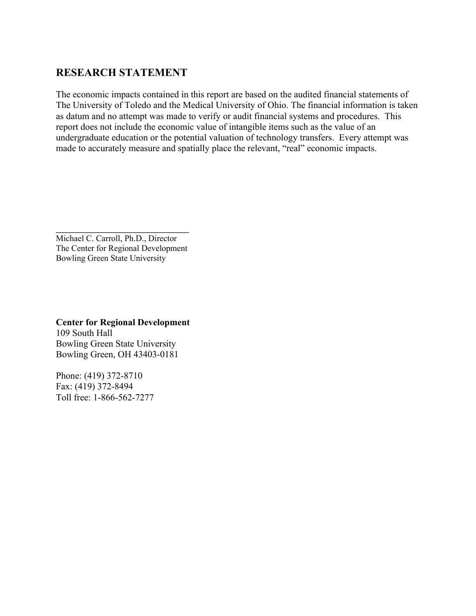## **RESEARCH STATEMENT**

The economic impacts contained in this report are based on the audited financial statements of The University of Toledo and the Medical University of Ohio. The financial information is taken as datum and no attempt was made to verify or audit financial systems and procedures. This report does not include the economic value of intangible items such as the value of an undergraduate education or the potential valuation of technology transfers. Every attempt was made to accurately measure and spatially place the relevant, "real" economic impacts.

Michael C. Carroll, Ph.D., Director The Center for Regional Development Bowling Green State University

\_\_\_\_\_\_\_\_\_\_\_\_\_\_\_\_\_\_\_\_\_\_\_\_\_\_\_\_

**Center for Regional Development** 109 South Hall Bowling Green State University Bowling Green, OH 43403-0181

Phone: (419) 372-8710 Fax: (419) 372-8494 Toll free: 1-866-562-7277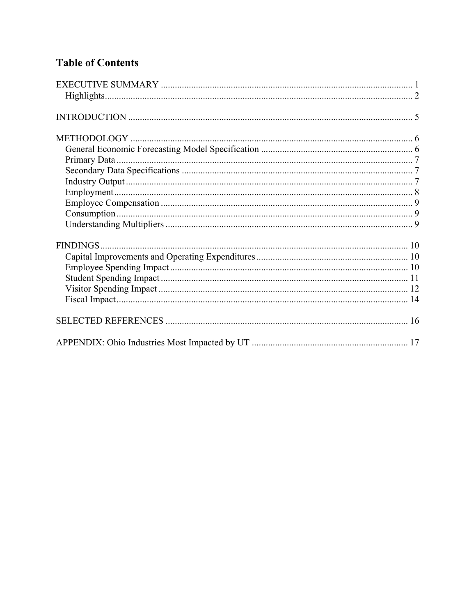## **Table of Contents**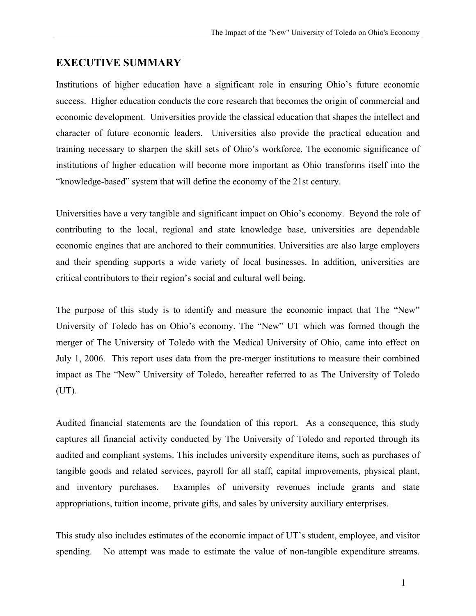### **EXECUTIVE SUMMARY**

Institutions of higher education have a significant role in ensuring Ohio's future economic success. Higher education conducts the core research that becomes the origin of commercial and economic development. Universities provide the classical education that shapes the intellect and character of future economic leaders. Universities also provide the practical education and training necessary to sharpen the skill sets of Ohio's workforce. The economic significance of institutions of higher education will become more important as Ohio transforms itself into the "knowledge-based" system that will define the economy of the 21st century.

Universities have a very tangible and significant impact on Ohio's economy. Beyond the role of contributing to the local, regional and state knowledge base, universities are dependable economic engines that are anchored to their communities. Universities are also large employers and their spending supports a wide variety of local businesses. In addition, universities are critical contributors to their region's social and cultural well being.

The purpose of this study is to identify and measure the economic impact that The "New" University of Toledo has on Ohio's economy. The "New" UT which was formed though the merger of The University of Toledo with the Medical University of Ohio, came into effect on July 1, 2006. This report uses data from the pre-merger institutions to measure their combined impact as The "New" University of Toledo, hereafter referred to as The University of Toledo (UT).

Audited financial statements are the foundation of this report. As a consequence, this study captures all financial activity conducted by The University of Toledo and reported through its audited and compliant systems. This includes university expenditure items, such as purchases of tangible goods and related services, payroll for all staff, capital improvements, physical plant, and inventory purchases. Examples of university revenues include grants and state appropriations, tuition income, private gifts, and sales by university auxiliary enterprises.

This study also includes estimates of the economic impact of UT's student, employee, and visitor spending. No attempt was made to estimate the value of non-tangible expenditure streams.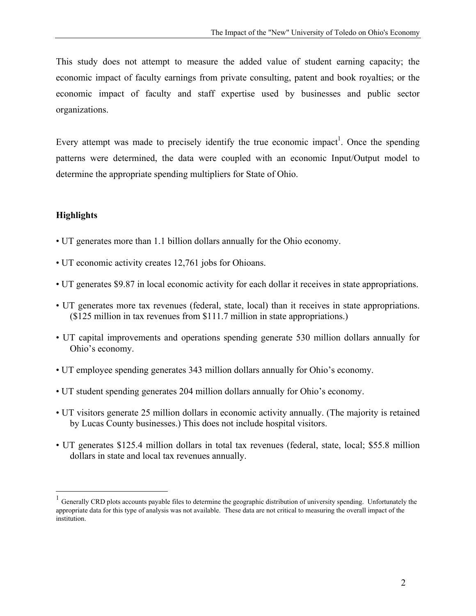This study does not attempt to measure the added value of student earning capacity; the economic impact of faculty earnings from private consulting, patent and book royalties; or the economic impact of faculty and staff expertise used by businesses and public sector organizations.

Every attempt was made to precisely identify the true economic impact<sup>1</sup>. Once the spending patterns were determined, the data were coupled with an economic Input/Output model to determine the appropriate spending multipliers for State of Ohio.

## **Highlights**

<u>.</u>

- UT generates more than 1.1 billion dollars annually for the Ohio economy.
- UT economic activity creates 12,761 jobs for Ohioans.
- UT generates \$9.87 in local economic activity for each dollar it receives in state appropriations.
- UT generates more tax revenues (federal, state, local) than it receives in state appropriations. (\$125 million in tax revenues from \$111.7 million in state appropriations.)
- UT capital improvements and operations spending generate 530 million dollars annually for Ohio's economy.
- UT employee spending generates 343 million dollars annually for Ohio's economy.
- UT student spending generates 204 million dollars annually for Ohio's economy.
- UT visitors generate 25 million dollars in economic activity annually. (The majority is retained by Lucas County businesses.) This does not include hospital visitors.
- UT generates \$125.4 million dollars in total tax revenues (federal, state, local; \$55.8 million dollars in state and local tax revenues annually.

<sup>1</sup> Generally CRD plots accounts payable files to determine the geographic distribution of university spending. Unfortunately the appropriate data for this type of analysis was not available. These data are not critical to measuring the overall impact of the institution.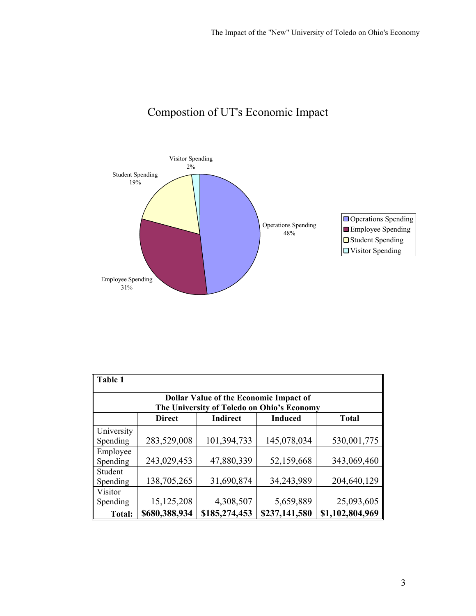

# Compostion of UT's Economic Impact

| Table 1                |                                                                                             |                 |                |                 |  |
|------------------------|---------------------------------------------------------------------------------------------|-----------------|----------------|-----------------|--|
|                        | <b>Dollar Value of the Economic Impact of</b><br>The University of Toledo on Ohio's Economy |                 |                |                 |  |
|                        | <b>Direct</b>                                                                               | <b>Indirect</b> | <b>Induced</b> | <b>Total</b>    |  |
| University<br>Spending | 283,529,008                                                                                 | 101,394,733     | 145,078,034    | 530,001,775     |  |
| Employee<br>Spending   | 243,029,453                                                                                 | 47,880,339      | 52,159,668     | 343,069,460     |  |
| Student<br>Spending    | 138,705,265                                                                                 | 31,690,874      | 34,243,989     | 204,640,129     |  |
| Visitor<br>Spending    | 15, 125, 208                                                                                | 4,308,507       | 5,659,889      | 25,093,605      |  |
| Total:                 | \$680,388,934                                                                               | \$185,274,453   | \$237,141,580  | \$1,102,804,969 |  |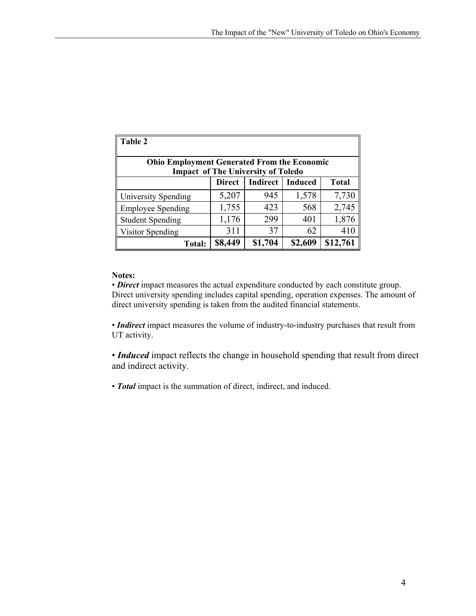| Table 2                                                                                         |               |                 |                |              |
|-------------------------------------------------------------------------------------------------|---------------|-----------------|----------------|--------------|
| <b>Ohio Employment Generated From the Economic</b><br><b>Impact of The University of Toledo</b> |               |                 |                |              |
|                                                                                                 | <b>Direct</b> | <b>Indirect</b> | <b>Induced</b> | <b>Total</b> |
| University Spending                                                                             | 5,207         | 945             | 1,578          | 7,730        |
| <b>Employee Spending</b>                                                                        | 1,755         | 423             | 568            | 2,745        |
| <b>Student Spending</b>                                                                         | 1,176         | 299             | 401            | 1,876        |
| Visitor Spending                                                                                | 311           | 37              | 62             | 410          |
| <b>Total:</b>                                                                                   | \$8,449       | \$1,704         | \$2,609        | \$12,761     |

#### **Notes:**

• *Direct* impact measures the actual expenditure conducted by each constitute group. Direct university spending includes capital spending, operation expenses. The amount of direct university spending is taken from the audited financial statements.

• *Indirect* impact measures the volume of industry-to-industry purchases that result from UT activity.

• *Induced* impact reflects the change in household spending that result from direct and indirect activity.

• *Total* impact is the summation of direct, indirect, and induced.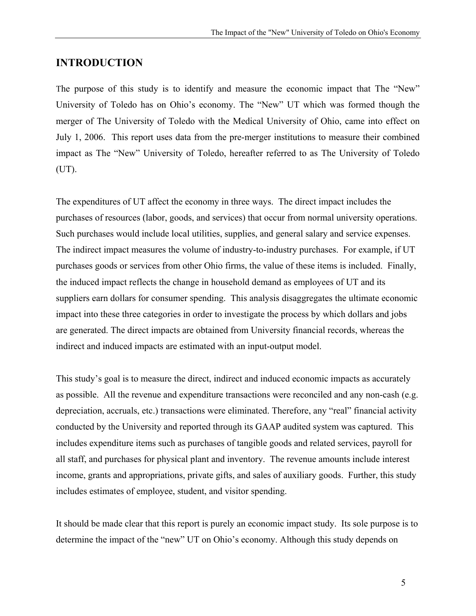## **INTRODUCTION**

The purpose of this study is to identify and measure the economic impact that The "New" University of Toledo has on Ohio's economy. The "New" UT which was formed though the merger of The University of Toledo with the Medical University of Ohio, came into effect on July 1, 2006. This report uses data from the pre-merger institutions to measure their combined impact as The "New" University of Toledo, hereafter referred to as The University of Toledo (UT).

The expenditures of UT affect the economy in three ways. The direct impact includes the purchases of resources (labor, goods, and services) that occur from normal university operations. Such purchases would include local utilities, supplies, and general salary and service expenses. The indirect impact measures the volume of industry-to-industry purchases. For example, if UT purchases goods or services from other Ohio firms, the value of these items is included. Finally, the induced impact reflects the change in household demand as employees of UT and its suppliers earn dollars for consumer spending. This analysis disaggregates the ultimate economic impact into these three categories in order to investigate the process by which dollars and jobs are generated. The direct impacts are obtained from University financial records, whereas the indirect and induced impacts are estimated with an input-output model.

This study's goal is to measure the direct, indirect and induced economic impacts as accurately as possible. All the revenue and expenditure transactions were reconciled and any non-cash (e.g. depreciation, accruals, etc.) transactions were eliminated. Therefore, any "real" financial activity conducted by the University and reported through its GAAP audited system was captured. This includes expenditure items such as purchases of tangible goods and related services, payroll for all staff, and purchases for physical plant and inventory. The revenue amounts include interest income, grants and appropriations, private gifts, and sales of auxiliary goods. Further, this study includes estimates of employee, student, and visitor spending.

It should be made clear that this report is purely an economic impact study. Its sole purpose is to determine the impact of the "new" UT on Ohio's economy. Although this study depends on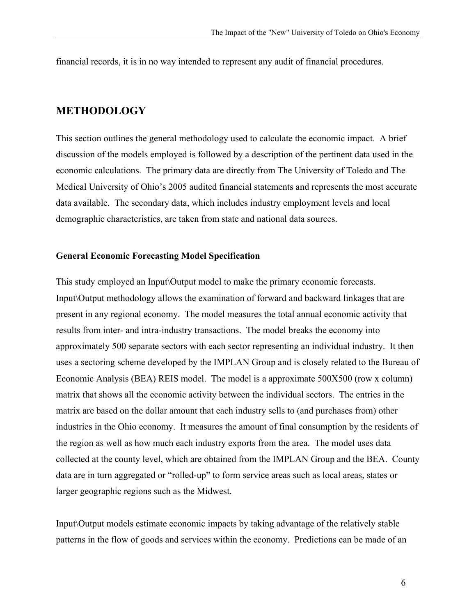financial records, it is in no way intended to represent any audit of financial procedures.

#### **METHODOLOGY**

This section outlines the general methodology used to calculate the economic impact. A brief discussion of the models employed is followed by a description of the pertinent data used in the economic calculations. The primary data are directly from The University of Toledo and The Medical University of Ohio's 2005 audited financial statements and represents the most accurate data available. The secondary data, which includes industry employment levels and local demographic characteristics, are taken from state and national data sources.

#### **General Economic Forecasting Model Specification**

This study employed an Input\Output model to make the primary economic forecasts. Input\Output methodology allows the examination of forward and backward linkages that are present in any regional economy. The model measures the total annual economic activity that results from inter- and intra-industry transactions. The model breaks the economy into approximately 500 separate sectors with each sector representing an individual industry. It then uses a sectoring scheme developed by the IMPLAN Group and is closely related to the Bureau of Economic Analysis (BEA) REIS model. The model is a approximate 500X500 (row x column) matrix that shows all the economic activity between the individual sectors. The entries in the matrix are based on the dollar amount that each industry sells to (and purchases from) other industries in the Ohio economy. It measures the amount of final consumption by the residents of the region as well as how much each industry exports from the area. The model uses data collected at the county level, which are obtained from the IMPLAN Group and the BEA. County data are in turn aggregated or "rolled-up" to form service areas such as local areas, states or larger geographic regions such as the Midwest.

Input\Output models estimate economic impacts by taking advantage of the relatively stable patterns in the flow of goods and services within the economy. Predictions can be made of an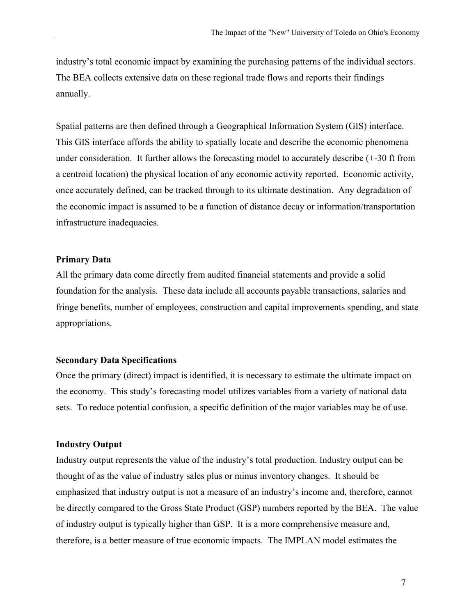industry's total economic impact by examining the purchasing patterns of the individual sectors. The BEA collects extensive data on these regional trade flows and reports their findings annually.

Spatial patterns are then defined through a Geographical Information System (GIS) interface. This GIS interface affords the ability to spatially locate and describe the economic phenomena under consideration. It further allows the forecasting model to accurately describe (+-30 ft from a centroid location) the physical location of any economic activity reported. Economic activity, once accurately defined, can be tracked through to its ultimate destination. Any degradation of the economic impact is assumed to be a function of distance decay or information/transportation infrastructure inadequacies.

#### **Primary Data**

All the primary data come directly from audited financial statements and provide a solid foundation for the analysis. These data include all accounts payable transactions, salaries and fringe benefits, number of employees, construction and capital improvements spending, and state appropriations.

#### **Secondary Data Specifications**

Once the primary (direct) impact is identified, it is necessary to estimate the ultimate impact on the economy. This study's forecasting model utilizes variables from a variety of national data sets. To reduce potential confusion, a specific definition of the major variables may be of use.

#### **Industry Output**

Industry output represents the value of the industry's total production. Industry output can be thought of as the value of industry sales plus or minus inventory changes. It should be emphasized that industry output is not a measure of an industry's income and, therefore, cannot be directly compared to the Gross State Product (GSP) numbers reported by the BEA. The value of industry output is typically higher than GSP. It is a more comprehensive measure and, therefore, is a better measure of true economic impacts. The IMPLAN model estimates the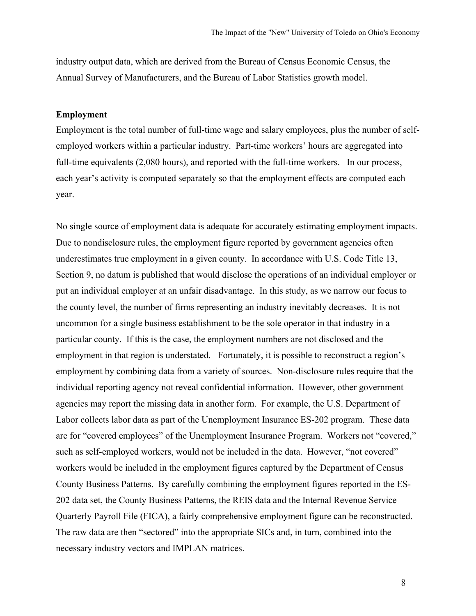industry output data, which are derived from the Bureau of Census Economic Census, the Annual Survey of Manufacturers, and the Bureau of Labor Statistics growth model.

#### **Employment**

Employment is the total number of full-time wage and salary employees, plus the number of selfemployed workers within a particular industry. Part-time workers' hours are aggregated into full-time equivalents (2,080 hours), and reported with the full-time workers. In our process, each year's activity is computed separately so that the employment effects are computed each year.

No single source of employment data is adequate for accurately estimating employment impacts. Due to nondisclosure rules, the employment figure reported by government agencies often underestimates true employment in a given county. In accordance with U.S. Code Title 13, Section 9, no datum is published that would disclose the operations of an individual employer or put an individual employer at an unfair disadvantage. In this study, as we narrow our focus to the county level, the number of firms representing an industry inevitably decreases. It is not uncommon for a single business establishment to be the sole operator in that industry in a particular county. If this is the case, the employment numbers are not disclosed and the employment in that region is understated. Fortunately, it is possible to reconstruct a region's employment by combining data from a variety of sources. Non-disclosure rules require that the individual reporting agency not reveal confidential information. However, other government agencies may report the missing data in another form. For example, the U.S. Department of Labor collects labor data as part of the Unemployment Insurance ES-202 program. These data are for "covered employees" of the Unemployment Insurance Program. Workers not "covered," such as self-employed workers, would not be included in the data. However, "not covered" workers would be included in the employment figures captured by the Department of Census County Business Patterns. By carefully combining the employment figures reported in the ES-202 data set, the County Business Patterns, the REIS data and the Internal Revenue Service Quarterly Payroll File (FICA), a fairly comprehensive employment figure can be reconstructed. The raw data are then "sectored" into the appropriate SICs and, in turn, combined into the necessary industry vectors and IMPLAN matrices.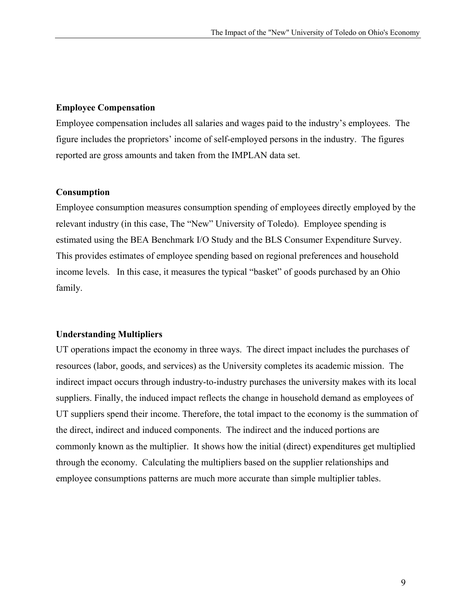#### **Employee Compensation**

Employee compensation includes all salaries and wages paid to the industry's employees. The figure includes the proprietors' income of self-employed persons in the industry. The figures reported are gross amounts and taken from the IMPLAN data set.

#### **Consumption**

Employee consumption measures consumption spending of employees directly employed by the relevant industry (in this case, The "New" University of Toledo). Employee spending is estimated using the BEA Benchmark I/O Study and the BLS Consumer Expenditure Survey. This provides estimates of employee spending based on regional preferences and household income levels. In this case, it measures the typical "basket" of goods purchased by an Ohio family.

### **Understanding Multipliers**

UT operations impact the economy in three ways. The direct impact includes the purchases of resources (labor, goods, and services) as the University completes its academic mission. The indirect impact occurs through industry-to-industry purchases the university makes with its local suppliers. Finally, the induced impact reflects the change in household demand as employees of UT suppliers spend their income. Therefore, the total impact to the economy is the summation of the direct, indirect and induced components. The indirect and the induced portions are commonly known as the multiplier. It shows how the initial (direct) expenditures get multiplied through the economy. Calculating the multipliers based on the supplier relationships and employee consumptions patterns are much more accurate than simple multiplier tables.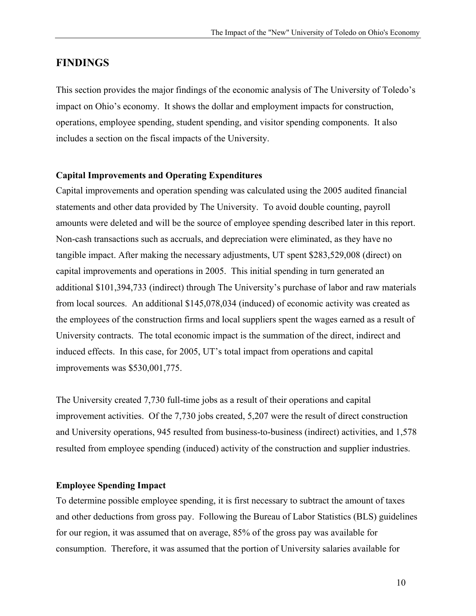## **FINDINGS**

This section provides the major findings of the economic analysis of The University of Toledo's impact on Ohio's economy. It shows the dollar and employment impacts for construction, operations, employee spending, student spending, and visitor spending components. It also includes a section on the fiscal impacts of the University.

#### **Capital Improvements and Operating Expenditures**

Capital improvements and operation spending was calculated using the 2005 audited financial statements and other data provided by The University. To avoid double counting, payroll amounts were deleted and will be the source of employee spending described later in this report. Non-cash transactions such as accruals, and depreciation were eliminated, as they have no tangible impact. After making the necessary adjustments, UT spent \$283,529,008 (direct) on capital improvements and operations in 2005. This initial spending in turn generated an additional \$101,394,733 (indirect) through The University's purchase of labor and raw materials from local sources. An additional \$145,078,034 (induced) of economic activity was created as the employees of the construction firms and local suppliers spent the wages earned as a result of University contracts. The total economic impact is the summation of the direct, indirect and induced effects. In this case, for 2005, UT's total impact from operations and capital improvements was \$530,001,775.

The University created 7,730 full-time jobs as a result of their operations and capital improvement activities. Of the 7,730 jobs created, 5,207 were the result of direct construction and University operations, 945 resulted from business-to-business (indirect) activities, and 1,578 resulted from employee spending (induced) activity of the construction and supplier industries.

#### **Employee Spending Impact**

To determine possible employee spending, it is first necessary to subtract the amount of taxes and other deductions from gross pay. Following the Bureau of Labor Statistics (BLS) guidelines for our region, it was assumed that on average, 85% of the gross pay was available for consumption. Therefore, it was assumed that the portion of University salaries available for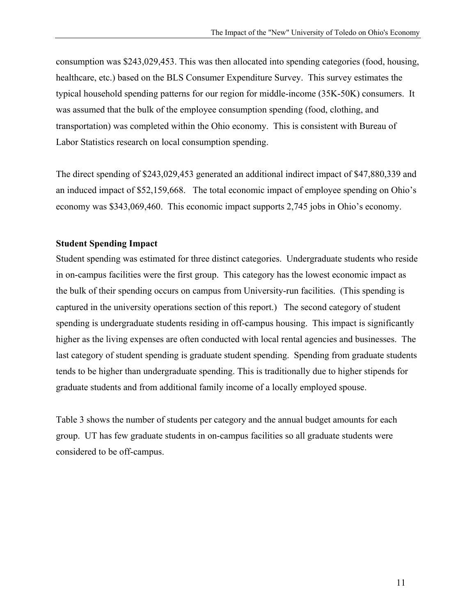consumption was \$243,029,453. This was then allocated into spending categories (food, housing, healthcare, etc.) based on the BLS Consumer Expenditure Survey. This survey estimates the typical household spending patterns for our region for middle-income (35K-50K) consumers. It was assumed that the bulk of the employee consumption spending (food, clothing, and transportation) was completed within the Ohio economy. This is consistent with Bureau of Labor Statistics research on local consumption spending.

The direct spending of \$243,029,453 generated an additional indirect impact of \$47,880,339 and an induced impact of \$52,159,668. The total economic impact of employee spending on Ohio's economy was \$343,069,460. This economic impact supports 2,745 jobs in Ohio's economy.

#### **Student Spending Impact**

Student spending was estimated for three distinct categories. Undergraduate students who reside in on-campus facilities were the first group. This category has the lowest economic impact as the bulk of their spending occurs on campus from University-run facilities. (This spending is captured in the university operations section of this report.) The second category of student spending is undergraduate students residing in off-campus housing. This impact is significantly higher as the living expenses are often conducted with local rental agencies and businesses. The last category of student spending is graduate student spending. Spending from graduate students tends to be higher than undergraduate spending. This is traditionally due to higher stipends for graduate students and from additional family income of a locally employed spouse.

Table 3 shows the number of students per category and the annual budget amounts for each group. UT has few graduate students in on-campus facilities so all graduate students were considered to be off-campus.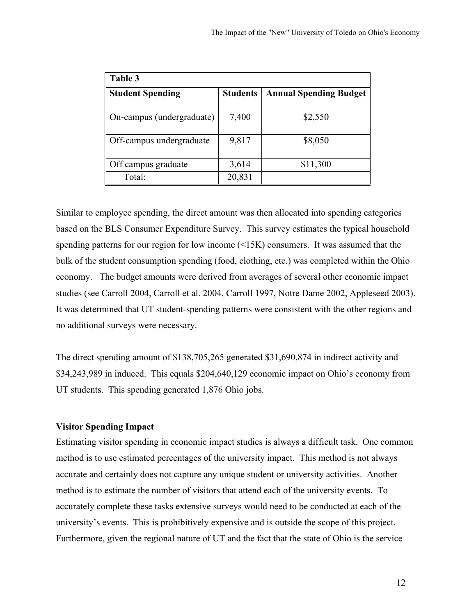| Table 3                   |                 |                               |
|---------------------------|-----------------|-------------------------------|
| <b>Student Spending</b>   | <b>Students</b> | <b>Annual Spending Budget</b> |
| On-campus (undergraduate) | 7,400           | \$2,550                       |
| Off-campus undergraduate  | 9,817           | \$8,050                       |
| Off campus graduate       | 3,614           | \$11,300                      |
| Total:                    | 20,831          |                               |

Similar to employee spending, the direct amount was then allocated into spending categories based on the BLS Consumer Expenditure Survey. This survey estimates the typical household spending patterns for our region for low income (<15K) consumers. It was assumed that the bulk of the student consumption spending (food, clothing, etc.) was completed within the Ohio economy. The budget amounts were derived from averages of several other economic impact studies (see Carroll 2004, Carroll et al. 2004, Carroll 1997, Notre Dame 2002, Appleseed 2003). It was determined that UT student-spending patterns were consistent with the other regions and no additional surveys were necessary.

The direct spending amount of \$138,705,265 generated \$31,690,874 in indirect activity and \$34,243,989 in induced. This equals \$204,640,129 economic impact on Ohio's economy from UT students. This spending generated 1,876 Ohio jobs.

### **Visitor Spending Impact**

Estimating visitor spending in economic impact studies is always a difficult task. One common method is to use estimated percentages of the university impact. This method is not always accurate and certainly does not capture any unique student or university activities. Another method is to estimate the number of visitors that attend each of the university events. To accurately complete these tasks extensive surveys would need to be conducted at each of the university's events. This is prohibitively expensive and is outside the scope of this project. Furthermore, given the regional nature of UT and the fact that the state of Ohio is the service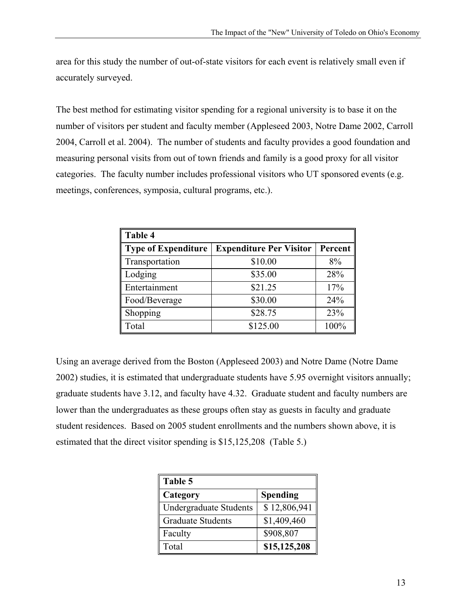area for this study the number of out-of-state visitors for each event is relatively small even if accurately surveyed.

The best method for estimating visitor spending for a regional university is to base it on the number of visitors per student and faculty member (Appleseed 2003, Notre Dame 2002, Carroll 2004, Carroll et al. 2004). The number of students and faculty provides a good foundation and measuring personal visits from out of town friends and family is a good proxy for all visitor categories. The faculty number includes professional visitors who UT sponsored events (e.g. meetings, conferences, symposia, cultural programs, etc.).

| <b>Table 4</b>             |                                |         |
|----------------------------|--------------------------------|---------|
| <b>Type of Expenditure</b> | <b>Expenditure Per Visitor</b> | Percent |
| Transportation             | \$10.00                        | 8%      |
| Lodging                    | \$35.00                        | 28%     |
| Entertainment              | \$21.25                        | 17%     |
| Food/Beverage              | \$30.00                        | 24%     |
| Shopping                   | \$28.75                        | 23%     |
| Total                      | \$125.00                       | 100%    |

Using an average derived from the Boston (Appleseed 2003) and Notre Dame (Notre Dame 2002) studies, it is estimated that undergraduate students have 5.95 overnight visitors annually; graduate students have 3.12, and faculty have 4.32. Graduate student and faculty numbers are lower than the undergraduates as these groups often stay as guests in faculty and graduate student residences. Based on 2005 student enrollments and the numbers shown above, it is estimated that the direct visitor spending is \$15,125,208 (Table 5.)

| Table 5                       |                 |
|-------------------------------|-----------------|
| Category                      | <b>Spending</b> |
| <b>Undergraduate Students</b> | \$12,806,941    |
| <b>Graduate Students</b>      | \$1,409,460     |
| Faculty                       | \$908,807       |
| Total                         | \$15,125,208    |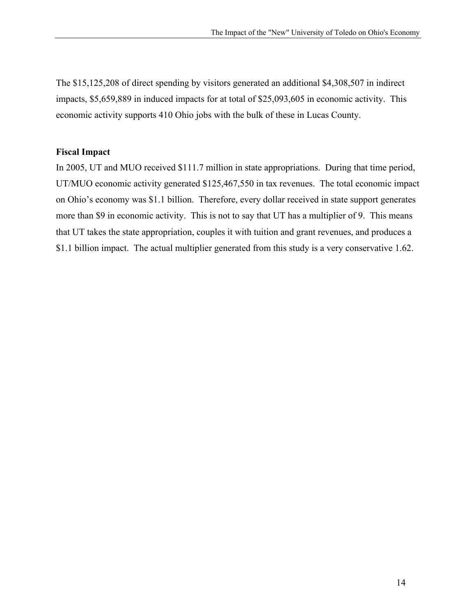The \$15,125,208 of direct spending by visitors generated an additional \$4,308,507 in indirect impacts, \$5,659,889 in induced impacts for at total of \$25,093,605 in economic activity. This economic activity supports 410 Ohio jobs with the bulk of these in Lucas County.

#### **Fiscal Impact**

In 2005, UT and MUO received \$111.7 million in state appropriations. During that time period, UT/MUO economic activity generated \$125,467,550 in tax revenues. The total economic impact on Ohio's economy was \$1.1 billion. Therefore, every dollar received in state support generates more than \$9 in economic activity. This is not to say that UT has a multiplier of 9. This means that UT takes the state appropriation, couples it with tuition and grant revenues, and produces a \$1.1 billion impact. The actual multiplier generated from this study is a very conservative 1.62.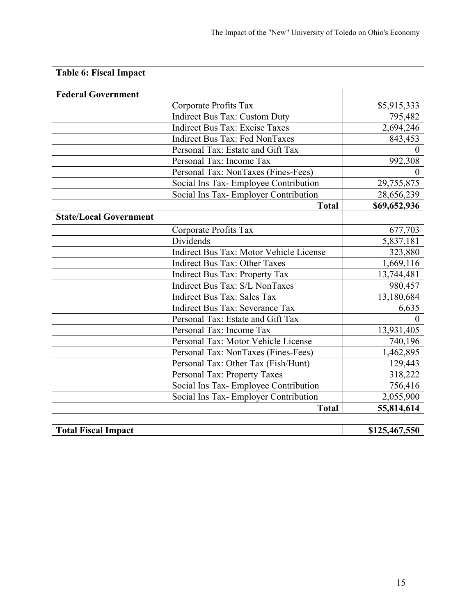| <b>Table 6: Fiscal Impact</b> |                                         |               |
|-------------------------------|-----------------------------------------|---------------|
| <b>Federal Government</b>     |                                         |               |
|                               | Corporate Profits Tax                   | \$5,915,333   |
|                               | <b>Indirect Bus Tax: Custom Duty</b>    | 795,482       |
|                               | <b>Indirect Bus Tax: Excise Taxes</b>   | 2,694,246     |
|                               | <b>Indirect Bus Tax: Fed NonTaxes</b>   | 843,453       |
|                               | Personal Tax: Estate and Gift Tax       | $\Omega$      |
|                               | Personal Tax: Income Tax                | 992,308       |
|                               | Personal Tax: NonTaxes (Fines-Fees)     |               |
|                               | Social Ins Tax- Employee Contribution   | 29,755,875    |
|                               | Social Ins Tax- Employer Contribution   | 28,656,239    |
|                               | <b>Total</b>                            | \$69,652,936  |
| <b>State/Local Government</b> |                                         |               |
|                               | Corporate Profits Tax                   | 677,703       |
|                               | Dividends                               | 5,837,181     |
|                               | Indirect Bus Tax: Motor Vehicle License | 323,880       |
|                               | <b>Indirect Bus Tax: Other Taxes</b>    | 1,669,116     |
|                               | <b>Indirect Bus Tax: Property Tax</b>   | 13,744,481    |
|                               | Indirect Bus Tax: S/L NonTaxes          | 980,457       |
|                               | <b>Indirect Bus Tax: Sales Tax</b>      | 13,180,684    |
|                               | Indirect Bus Tax: Severance Tax         | 6,635         |
|                               | Personal Tax: Estate and Gift Tax       |               |
|                               | Personal Tax: Income Tax                | 13,931,405    |
|                               | Personal Tax: Motor Vehicle License     | 740,196       |
|                               | Personal Tax: NonTaxes (Fines-Fees)     | 1,462,895     |
|                               | Personal Tax: Other Tax (Fish/Hunt)     | 129,443       |
|                               | Personal Tax: Property Taxes            | 318,222       |
|                               | Social Ins Tax- Employee Contribution   | 756,416       |
|                               | Social Ins Tax- Employer Contribution   | 2,055,900     |
|                               | <b>Total</b>                            | 55,814,614    |
| <b>Total Fiscal Impact</b>    |                                         | \$125,467,550 |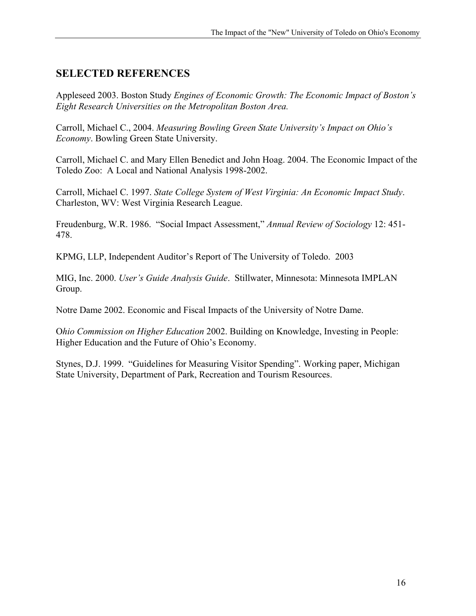## **SELECTED REFERENCES**

Appleseed 2003. Boston Study *Engines of Economic Growth: The Economic Impact of Boston's Eight Research Universities on the Metropolitan Boston Area.* 

Carroll, Michael C., 2004. *Measuring Bowling Green State University's Impact on Ohio's Economy*. Bowling Green State University.

Carroll, Michael C. and Mary Ellen Benedict and John Hoag. 2004. The Economic Impact of the Toledo Zoo: A Local and National Analysis 1998-2002.

Carroll, Michael C. 1997. *State College System of West Virginia: An Economic Impact Study*. Charleston, WV: West Virginia Research League.

Freudenburg, W.R. 1986. "Social Impact Assessment," *Annual Review of Sociology* 12: 451- 478.

KPMG, LLP, Independent Auditor's Report of The University of Toledo. 2003

MIG, Inc. 2000. *User's Guide Analysis Guide*. Stillwater, Minnesota: Minnesota IMPLAN Group.

Notre Dame 2002. Economic and Fiscal Impacts of the University of Notre Dame.

O*hio Commission on Higher Education* 2002. Building on Knowledge, Investing in People: Higher Education and the Future of Ohio's Economy.

Stynes, D.J. 1999. "Guidelines for Measuring Visitor Spending". Working paper, Michigan State University, Department of Park, Recreation and Tourism Resources.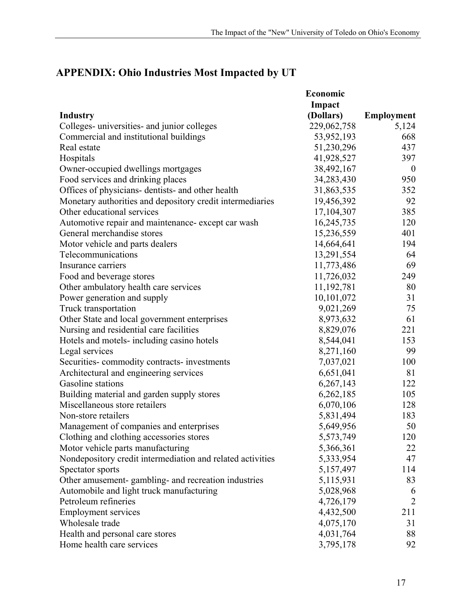## **APPENDIX: Ohio Industries Most Impacted by UT**

|                                                            | Economic    |                |
|------------------------------------------------------------|-------------|----------------|
|                                                            | Impact      |                |
| <b>Industry</b>                                            | (Dollars)   | Employment     |
| Colleges- universities- and junior colleges                | 229,062,758 | 5,124          |
| Commercial and institutional buildings                     | 53,952,193  | 668            |
| Real estate                                                | 51,230,296  | 437            |
| Hospitals                                                  | 41,928,527  | 397            |
| Owner-occupied dwellings mortgages                         | 38,492,167  | $\mathbf{0}$   |
| Food services and drinking places                          | 34,283,430  | 950            |
| Offices of physicians- dentists- and other health          | 31,863,535  | 352            |
| Monetary authorities and depository credit intermediaries  | 19,456,392  | 92             |
| Other educational services                                 | 17,104,307  | 385            |
| Automotive repair and maintenance-except car wash          | 16,245,735  | 120            |
| General merchandise stores                                 | 15,236,559  | 401            |
| Motor vehicle and parts dealers                            | 14,664,641  | 194            |
| Telecommunications                                         | 13,291,554  | 64             |
| Insurance carriers                                         | 11,773,486  | 69             |
| Food and beverage stores                                   | 11,726,032  | 249            |
| Other ambulatory health care services                      | 11,192,781  | 80             |
| Power generation and supply                                | 10,101,072  | 31             |
| Truck transportation                                       | 9,021,269   | 75             |
| Other State and local government enterprises               | 8,973,632   | 61             |
| Nursing and residential care facilities                    | 8,829,076   | 221            |
| Hotels and motels- including casino hotels                 | 8,544,041   | 153            |
| Legal services                                             | 8,271,160   | 99             |
| Securities-commodity contracts-investments                 | 7,037,021   | 100            |
| Architectural and engineering services                     | 6,651,041   | 81             |
| Gasoline stations                                          | 6,267,143   | 122            |
| Building material and garden supply stores                 | 6,262,185   | 105            |
| Miscellaneous store retailers                              | 6,070,106   | 128            |
| Non-store retailers                                        | 5,831,494   | 183            |
| Management of companies and enterprises                    | 5,649,956   | 50             |
| Clothing and clothing accessories stores                   | 5,573,749   | 120            |
| Motor vehicle parts manufacturing                          | 5,366,361   | 22             |
| Nondepository credit intermediation and related activities | 5,333,954   | 47             |
| Spectator sports                                           | 5,157,497   | 114            |
| Other amusement- gambling- and recreation industries       | 5,115,931   | 83             |
| Automobile and light truck manufacturing                   | 5,028,968   | 6              |
| Petroleum refineries                                       | 4,726,179   | $\overline{2}$ |
| <b>Employment services</b>                                 | 4,432,500   | 211            |
| Wholesale trade                                            | 4,075,170   | 31             |
| Health and personal care stores                            | 4,031,764   | 88             |
| Home health care services                                  | 3,795,178   | 92             |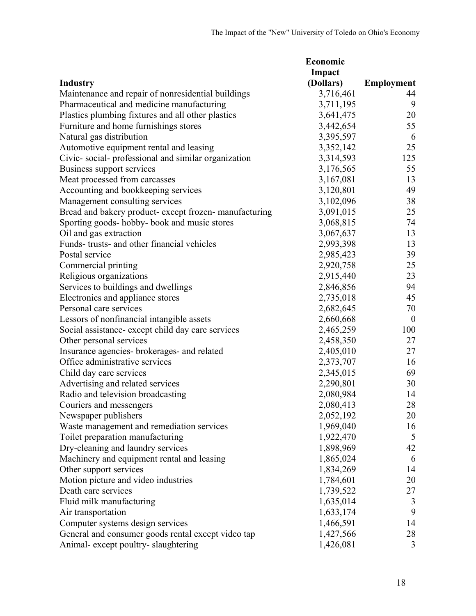|                                                        | Economic  |                   |  |
|--------------------------------------------------------|-----------|-------------------|--|
|                                                        | Impact    |                   |  |
| <b>Industry</b>                                        | (Dollars) | <b>Employment</b> |  |
| Maintenance and repair of nonresidential buildings     | 3,716,461 | 44                |  |
| Pharmaceutical and medicine manufacturing              | 3,711,195 | 9                 |  |
| Plastics plumbing fixtures and all other plastics      | 3,641,475 | 20                |  |
| Furniture and home furnishings stores                  | 3,442,654 | 55                |  |
| Natural gas distribution                               | 3,395,597 | 6                 |  |
| Automotive equipment rental and leasing                | 3,352,142 | 25                |  |
| Civic-social-professional and similar organization     | 3,314,593 | 125               |  |
| Business support services                              | 3,176,565 | 55                |  |
| Meat processed from carcasses                          | 3,167,081 | 13                |  |
| Accounting and bookkeeping services                    | 3,120,801 | 49                |  |
| Management consulting services                         | 3,102,096 | 38                |  |
| Bread and bakery product- except frozen- manufacturing | 3,091,015 | 25                |  |
| Sporting goods- hobby- book and music stores           | 3,068,815 | 74                |  |
| Oil and gas extraction                                 | 3,067,637 | 13                |  |
| Funds-trusts- and other financial vehicles             | 2,993,398 | 13                |  |
| Postal service                                         | 2,985,423 | 39                |  |
| Commercial printing                                    | 2,920,758 | 25                |  |
| Religious organizations                                | 2,915,440 | 23                |  |
| Services to buildings and dwellings                    | 2,846,856 | 94                |  |
| Electronics and appliance stores                       | 2,735,018 | 45                |  |
| Personal care services                                 | 2,682,645 | 70                |  |
| Lessors of nonfinancial intangible assets              | 2,660,668 | $\boldsymbol{0}$  |  |
| Social assistance- except child day care services      | 2,465,259 | 100               |  |
| Other personal services                                | 2,458,350 | 27                |  |
| Insurance agencies- brokerages- and related            | 2,405,010 | 27                |  |
| Office administrative services                         | 2,373,707 | 16                |  |
| Child day care services                                | 2,345,015 | 69                |  |
| Advertising and related services                       | 2,290,801 | 30                |  |
| Radio and television broadcasting                      | 2,080,984 | 14                |  |
| Couriers and messengers                                | 2,080,413 | 28                |  |
| Newspaper publishers                                   | 2,052,192 | 20                |  |
| Waste management and remediation services              | 1,969,040 | 16                |  |
| Toilet preparation manufacturing                       | 1,922,470 | 5                 |  |
| Dry-cleaning and laundry services                      | 1,898,969 | 42                |  |
| Machinery and equipment rental and leasing             | 1,865,024 | 6                 |  |
| Other support services                                 | 1,834,269 | 14                |  |
| Motion picture and video industries                    | 1,784,601 | 20                |  |
| Death care services                                    | 1,739,522 | 27                |  |
| Fluid milk manufacturing                               | 1,635,014 | 3                 |  |
| Air transportation                                     | 1,633,174 | 9                 |  |
| Computer systems design services                       | 1,466,591 | 14                |  |
| General and consumer goods rental except video tap     | 1,427,566 | 28                |  |
| Animal- except poultry- slaughtering                   | 1,426,081 | 3                 |  |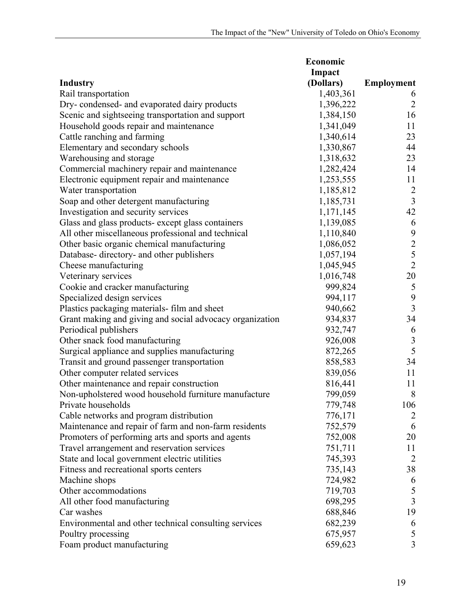| Impact<br>(Dollars)<br><b>Employment</b><br>1,403,361<br>6<br>$\overline{2}$<br>1,396,222<br>16<br>1,384,150<br>11<br>1,341,049<br>1,340,614<br>23<br>1,330,867<br>44<br>23<br>Warehousing and storage<br>1,318,632<br>Commercial machinery repair and maintenance<br>1,282,424<br>14<br>Electronic equipment repair and maintenance<br>1,253,555<br>11<br>1,185,812<br>$\overline{2}$<br>$\overline{3}$<br>Soap and other detergent manufacturing<br>1,185,731<br>1,171,145<br>42<br>Glass and glass products- except glass containers<br>1,139,085<br>6<br>9<br>1,110,840<br>$rac{2}{5}$<br>1,086,052<br>1,057,194<br>$\overline{2}$<br>1,045,945<br>Cheese manufacturing<br>20<br>1,016,748<br>Veterinary services<br>Cookie and cracker manufacturing<br>999,824<br>5<br>$\boldsymbol{9}$<br>Specialized design services<br>994,117<br>$\mathfrak{Z}$<br>Plastics packaging materials- film and sheet<br>940,662<br>34<br>934,837<br>Grant making and giving and social advocacy organization<br>Periodical publishers<br>932,747<br>6<br>$\sqrt{3}$<br>Other snack food manufacturing<br>926,008<br>5<br>Surgical appliance and supplies manufacturing<br>872,265<br>Transit and ground passenger transportation<br>858,583<br>34<br>Other computer related services<br>839,056<br>11<br>816,441<br>11<br>Other maintenance and repair construction<br>799,059<br>Non-upholstered wood household furniture manufacture<br>8<br>106<br>779,748<br>Private households<br>Cable networks and program distribution<br>776,171<br>$\overline{2}$<br>Maintenance and repair of farm and non-farm residents<br>752,579<br>6<br>Promoters of performing arts and sports and agents<br>752,008<br>20<br>Travel arrangement and reservation services<br>751,711<br>11<br>State and local government electric utilities<br>745,393<br>2<br>Fitness and recreational sports centers<br>735,143<br>38<br>Machine shops<br>724,982<br>6<br>719,703<br>5<br>Other accommodations<br>$\overline{3}$<br>All other food manufacturing<br>698,295<br>19<br>Car washes<br>688,846 |                                                       | Economic |   |  |
|--------------------------------------------------------------------------------------------------------------------------------------------------------------------------------------------------------------------------------------------------------------------------------------------------------------------------------------------------------------------------------------------------------------------------------------------------------------------------------------------------------------------------------------------------------------------------------------------------------------------------------------------------------------------------------------------------------------------------------------------------------------------------------------------------------------------------------------------------------------------------------------------------------------------------------------------------------------------------------------------------------------------------------------------------------------------------------------------------------------------------------------------------------------------------------------------------------------------------------------------------------------------------------------------------------------------------------------------------------------------------------------------------------------------------------------------------------------------------------------------------------------------------------------------------------------------------------------------------------------------------------------------------------------------------------------------------------------------------------------------------------------------------------------------------------------------------------------------------------------------------------------------------------------------------------------------------------------------------------------------------------------------------------------------------------------------|-------------------------------------------------------|----------|---|--|
|                                                                                                                                                                                                                                                                                                                                                                                                                                                                                                                                                                                                                                                                                                                                                                                                                                                                                                                                                                                                                                                                                                                                                                                                                                                                                                                                                                                                                                                                                                                                                                                                                                                                                                                                                                                                                                                                                                                                                                                                                                                                    |                                                       |          |   |  |
|                                                                                                                                                                                                                                                                                                                                                                                                                                                                                                                                                                                                                                                                                                                                                                                                                                                                                                                                                                                                                                                                                                                                                                                                                                                                                                                                                                                                                                                                                                                                                                                                                                                                                                                                                                                                                                                                                                                                                                                                                                                                    | <b>Industry</b>                                       |          |   |  |
|                                                                                                                                                                                                                                                                                                                                                                                                                                                                                                                                                                                                                                                                                                                                                                                                                                                                                                                                                                                                                                                                                                                                                                                                                                                                                                                                                                                                                                                                                                                                                                                                                                                                                                                                                                                                                                                                                                                                                                                                                                                                    | Rail transportation                                   |          |   |  |
|                                                                                                                                                                                                                                                                                                                                                                                                                                                                                                                                                                                                                                                                                                                                                                                                                                                                                                                                                                                                                                                                                                                                                                                                                                                                                                                                                                                                                                                                                                                                                                                                                                                                                                                                                                                                                                                                                                                                                                                                                                                                    | Dry-condensed- and evaporated dairy products          |          |   |  |
|                                                                                                                                                                                                                                                                                                                                                                                                                                                                                                                                                                                                                                                                                                                                                                                                                                                                                                                                                                                                                                                                                                                                                                                                                                                                                                                                                                                                                                                                                                                                                                                                                                                                                                                                                                                                                                                                                                                                                                                                                                                                    | Scenic and sightseeing transportation and support     |          |   |  |
|                                                                                                                                                                                                                                                                                                                                                                                                                                                                                                                                                                                                                                                                                                                                                                                                                                                                                                                                                                                                                                                                                                                                                                                                                                                                                                                                                                                                                                                                                                                                                                                                                                                                                                                                                                                                                                                                                                                                                                                                                                                                    | Household goods repair and maintenance                |          |   |  |
|                                                                                                                                                                                                                                                                                                                                                                                                                                                                                                                                                                                                                                                                                                                                                                                                                                                                                                                                                                                                                                                                                                                                                                                                                                                                                                                                                                                                                                                                                                                                                                                                                                                                                                                                                                                                                                                                                                                                                                                                                                                                    | Cattle ranching and farming                           |          |   |  |
|                                                                                                                                                                                                                                                                                                                                                                                                                                                                                                                                                                                                                                                                                                                                                                                                                                                                                                                                                                                                                                                                                                                                                                                                                                                                                                                                                                                                                                                                                                                                                                                                                                                                                                                                                                                                                                                                                                                                                                                                                                                                    | Elementary and secondary schools                      |          |   |  |
|                                                                                                                                                                                                                                                                                                                                                                                                                                                                                                                                                                                                                                                                                                                                                                                                                                                                                                                                                                                                                                                                                                                                                                                                                                                                                                                                                                                                                                                                                                                                                                                                                                                                                                                                                                                                                                                                                                                                                                                                                                                                    |                                                       |          |   |  |
|                                                                                                                                                                                                                                                                                                                                                                                                                                                                                                                                                                                                                                                                                                                                                                                                                                                                                                                                                                                                                                                                                                                                                                                                                                                                                                                                                                                                                                                                                                                                                                                                                                                                                                                                                                                                                                                                                                                                                                                                                                                                    |                                                       |          |   |  |
|                                                                                                                                                                                                                                                                                                                                                                                                                                                                                                                                                                                                                                                                                                                                                                                                                                                                                                                                                                                                                                                                                                                                                                                                                                                                                                                                                                                                                                                                                                                                                                                                                                                                                                                                                                                                                                                                                                                                                                                                                                                                    |                                                       |          |   |  |
|                                                                                                                                                                                                                                                                                                                                                                                                                                                                                                                                                                                                                                                                                                                                                                                                                                                                                                                                                                                                                                                                                                                                                                                                                                                                                                                                                                                                                                                                                                                                                                                                                                                                                                                                                                                                                                                                                                                                                                                                                                                                    | Water transportation                                  |          |   |  |
|                                                                                                                                                                                                                                                                                                                                                                                                                                                                                                                                                                                                                                                                                                                                                                                                                                                                                                                                                                                                                                                                                                                                                                                                                                                                                                                                                                                                                                                                                                                                                                                                                                                                                                                                                                                                                                                                                                                                                                                                                                                                    |                                                       |          |   |  |
|                                                                                                                                                                                                                                                                                                                                                                                                                                                                                                                                                                                                                                                                                                                                                                                                                                                                                                                                                                                                                                                                                                                                                                                                                                                                                                                                                                                                                                                                                                                                                                                                                                                                                                                                                                                                                                                                                                                                                                                                                                                                    | Investigation and security services                   |          |   |  |
|                                                                                                                                                                                                                                                                                                                                                                                                                                                                                                                                                                                                                                                                                                                                                                                                                                                                                                                                                                                                                                                                                                                                                                                                                                                                                                                                                                                                                                                                                                                                                                                                                                                                                                                                                                                                                                                                                                                                                                                                                                                                    |                                                       |          |   |  |
|                                                                                                                                                                                                                                                                                                                                                                                                                                                                                                                                                                                                                                                                                                                                                                                                                                                                                                                                                                                                                                                                                                                                                                                                                                                                                                                                                                                                                                                                                                                                                                                                                                                                                                                                                                                                                                                                                                                                                                                                                                                                    | All other miscellaneous professional and technical    |          |   |  |
|                                                                                                                                                                                                                                                                                                                                                                                                                                                                                                                                                                                                                                                                                                                                                                                                                                                                                                                                                                                                                                                                                                                                                                                                                                                                                                                                                                                                                                                                                                                                                                                                                                                                                                                                                                                                                                                                                                                                                                                                                                                                    | Other basic organic chemical manufacturing            |          |   |  |
|                                                                                                                                                                                                                                                                                                                                                                                                                                                                                                                                                                                                                                                                                                                                                                                                                                                                                                                                                                                                                                                                                                                                                                                                                                                                                                                                                                                                                                                                                                                                                                                                                                                                                                                                                                                                                                                                                                                                                                                                                                                                    | Database- directory- and other publishers             |          |   |  |
|                                                                                                                                                                                                                                                                                                                                                                                                                                                                                                                                                                                                                                                                                                                                                                                                                                                                                                                                                                                                                                                                                                                                                                                                                                                                                                                                                                                                                                                                                                                                                                                                                                                                                                                                                                                                                                                                                                                                                                                                                                                                    |                                                       |          |   |  |
|                                                                                                                                                                                                                                                                                                                                                                                                                                                                                                                                                                                                                                                                                                                                                                                                                                                                                                                                                                                                                                                                                                                                                                                                                                                                                                                                                                                                                                                                                                                                                                                                                                                                                                                                                                                                                                                                                                                                                                                                                                                                    |                                                       |          |   |  |
|                                                                                                                                                                                                                                                                                                                                                                                                                                                                                                                                                                                                                                                                                                                                                                                                                                                                                                                                                                                                                                                                                                                                                                                                                                                                                                                                                                                                                                                                                                                                                                                                                                                                                                                                                                                                                                                                                                                                                                                                                                                                    |                                                       |          |   |  |
|                                                                                                                                                                                                                                                                                                                                                                                                                                                                                                                                                                                                                                                                                                                                                                                                                                                                                                                                                                                                                                                                                                                                                                                                                                                                                                                                                                                                                                                                                                                                                                                                                                                                                                                                                                                                                                                                                                                                                                                                                                                                    |                                                       |          |   |  |
|                                                                                                                                                                                                                                                                                                                                                                                                                                                                                                                                                                                                                                                                                                                                                                                                                                                                                                                                                                                                                                                                                                                                                                                                                                                                                                                                                                                                                                                                                                                                                                                                                                                                                                                                                                                                                                                                                                                                                                                                                                                                    |                                                       |          |   |  |
|                                                                                                                                                                                                                                                                                                                                                                                                                                                                                                                                                                                                                                                                                                                                                                                                                                                                                                                                                                                                                                                                                                                                                                                                                                                                                                                                                                                                                                                                                                                                                                                                                                                                                                                                                                                                                                                                                                                                                                                                                                                                    |                                                       |          |   |  |
|                                                                                                                                                                                                                                                                                                                                                                                                                                                                                                                                                                                                                                                                                                                                                                                                                                                                                                                                                                                                                                                                                                                                                                                                                                                                                                                                                                                                                                                                                                                                                                                                                                                                                                                                                                                                                                                                                                                                                                                                                                                                    |                                                       |          |   |  |
|                                                                                                                                                                                                                                                                                                                                                                                                                                                                                                                                                                                                                                                                                                                                                                                                                                                                                                                                                                                                                                                                                                                                                                                                                                                                                                                                                                                                                                                                                                                                                                                                                                                                                                                                                                                                                                                                                                                                                                                                                                                                    |                                                       |          |   |  |
|                                                                                                                                                                                                                                                                                                                                                                                                                                                                                                                                                                                                                                                                                                                                                                                                                                                                                                                                                                                                                                                                                                                                                                                                                                                                                                                                                                                                                                                                                                                                                                                                                                                                                                                                                                                                                                                                                                                                                                                                                                                                    |                                                       |          |   |  |
|                                                                                                                                                                                                                                                                                                                                                                                                                                                                                                                                                                                                                                                                                                                                                                                                                                                                                                                                                                                                                                                                                                                                                                                                                                                                                                                                                                                                                                                                                                                                                                                                                                                                                                                                                                                                                                                                                                                                                                                                                                                                    |                                                       |          |   |  |
|                                                                                                                                                                                                                                                                                                                                                                                                                                                                                                                                                                                                                                                                                                                                                                                                                                                                                                                                                                                                                                                                                                                                                                                                                                                                                                                                                                                                                                                                                                                                                                                                                                                                                                                                                                                                                                                                                                                                                                                                                                                                    |                                                       |          |   |  |
|                                                                                                                                                                                                                                                                                                                                                                                                                                                                                                                                                                                                                                                                                                                                                                                                                                                                                                                                                                                                                                                                                                                                                                                                                                                                                                                                                                                                                                                                                                                                                                                                                                                                                                                                                                                                                                                                                                                                                                                                                                                                    |                                                       |          |   |  |
|                                                                                                                                                                                                                                                                                                                                                                                                                                                                                                                                                                                                                                                                                                                                                                                                                                                                                                                                                                                                                                                                                                                                                                                                                                                                                                                                                                                                                                                                                                                                                                                                                                                                                                                                                                                                                                                                                                                                                                                                                                                                    |                                                       |          |   |  |
|                                                                                                                                                                                                                                                                                                                                                                                                                                                                                                                                                                                                                                                                                                                                                                                                                                                                                                                                                                                                                                                                                                                                                                                                                                                                                                                                                                                                                                                                                                                                                                                                                                                                                                                                                                                                                                                                                                                                                                                                                                                                    |                                                       |          |   |  |
|                                                                                                                                                                                                                                                                                                                                                                                                                                                                                                                                                                                                                                                                                                                                                                                                                                                                                                                                                                                                                                                                                                                                                                                                                                                                                                                                                                                                                                                                                                                                                                                                                                                                                                                                                                                                                                                                                                                                                                                                                                                                    |                                                       |          |   |  |
|                                                                                                                                                                                                                                                                                                                                                                                                                                                                                                                                                                                                                                                                                                                                                                                                                                                                                                                                                                                                                                                                                                                                                                                                                                                                                                                                                                                                                                                                                                                                                                                                                                                                                                                                                                                                                                                                                                                                                                                                                                                                    |                                                       |          |   |  |
|                                                                                                                                                                                                                                                                                                                                                                                                                                                                                                                                                                                                                                                                                                                                                                                                                                                                                                                                                                                                                                                                                                                                                                                                                                                                                                                                                                                                                                                                                                                                                                                                                                                                                                                                                                                                                                                                                                                                                                                                                                                                    |                                                       |          |   |  |
|                                                                                                                                                                                                                                                                                                                                                                                                                                                                                                                                                                                                                                                                                                                                                                                                                                                                                                                                                                                                                                                                                                                                                                                                                                                                                                                                                                                                                                                                                                                                                                                                                                                                                                                                                                                                                                                                                                                                                                                                                                                                    |                                                       |          |   |  |
|                                                                                                                                                                                                                                                                                                                                                                                                                                                                                                                                                                                                                                                                                                                                                                                                                                                                                                                                                                                                                                                                                                                                                                                                                                                                                                                                                                                                                                                                                                                                                                                                                                                                                                                                                                                                                                                                                                                                                                                                                                                                    |                                                       |          |   |  |
|                                                                                                                                                                                                                                                                                                                                                                                                                                                                                                                                                                                                                                                                                                                                                                                                                                                                                                                                                                                                                                                                                                                                                                                                                                                                                                                                                                                                                                                                                                                                                                                                                                                                                                                                                                                                                                                                                                                                                                                                                                                                    |                                                       |          |   |  |
|                                                                                                                                                                                                                                                                                                                                                                                                                                                                                                                                                                                                                                                                                                                                                                                                                                                                                                                                                                                                                                                                                                                                                                                                                                                                                                                                                                                                                                                                                                                                                                                                                                                                                                                                                                                                                                                                                                                                                                                                                                                                    |                                                       |          |   |  |
|                                                                                                                                                                                                                                                                                                                                                                                                                                                                                                                                                                                                                                                                                                                                                                                                                                                                                                                                                                                                                                                                                                                                                                                                                                                                                                                                                                                                                                                                                                                                                                                                                                                                                                                                                                                                                                                                                                                                                                                                                                                                    |                                                       |          |   |  |
|                                                                                                                                                                                                                                                                                                                                                                                                                                                                                                                                                                                                                                                                                                                                                                                                                                                                                                                                                                                                                                                                                                                                                                                                                                                                                                                                                                                                                                                                                                                                                                                                                                                                                                                                                                                                                                                                                                                                                                                                                                                                    |                                                       |          |   |  |
|                                                                                                                                                                                                                                                                                                                                                                                                                                                                                                                                                                                                                                                                                                                                                                                                                                                                                                                                                                                                                                                                                                                                                                                                                                                                                                                                                                                                                                                                                                                                                                                                                                                                                                                                                                                                                                                                                                                                                                                                                                                                    |                                                       |          |   |  |
|                                                                                                                                                                                                                                                                                                                                                                                                                                                                                                                                                                                                                                                                                                                                                                                                                                                                                                                                                                                                                                                                                                                                                                                                                                                                                                                                                                                                                                                                                                                                                                                                                                                                                                                                                                                                                                                                                                                                                                                                                                                                    | Environmental and other technical consulting services | 682,239  | 6 |  |
| 5<br>675,957                                                                                                                                                                                                                                                                                                                                                                                                                                                                                                                                                                                                                                                                                                                                                                                                                                                                                                                                                                                                                                                                                                                                                                                                                                                                                                                                                                                                                                                                                                                                                                                                                                                                                                                                                                                                                                                                                                                                                                                                                                                       | Poultry processing                                    |          |   |  |
| $\overline{3}$<br>659,623                                                                                                                                                                                                                                                                                                                                                                                                                                                                                                                                                                                                                                                                                                                                                                                                                                                                                                                                                                                                                                                                                                                                                                                                                                                                                                                                                                                                                                                                                                                                                                                                                                                                                                                                                                                                                                                                                                                                                                                                                                          | Foam product manufacturing                            |          |   |  |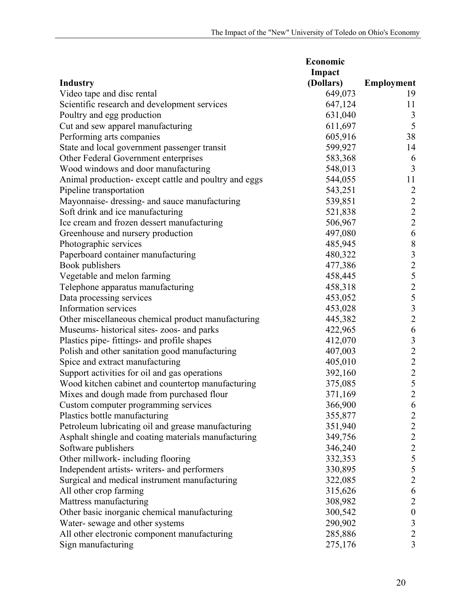|                                                      | Economic  |                                            |  |
|------------------------------------------------------|-----------|--------------------------------------------|--|
|                                                      | Impact    |                                            |  |
| <b>Industry</b>                                      | (Dollars) | <b>Employment</b>                          |  |
| Video tape and disc rental                           | 649,073   | 19                                         |  |
| Scientific research and development services         | 647,124   | 11                                         |  |
| Poultry and egg production                           | 631,040   | 3                                          |  |
| Cut and sew apparel manufacturing                    | 611,697   | 5                                          |  |
| Performing arts companies                            | 605,916   | 38                                         |  |
| State and local government passenger transit         | 599,927   | 14                                         |  |
| Other Federal Government enterprises                 | 583,368   | 6                                          |  |
| Wood windows and door manufacturing                  | 548,013   | $\overline{3}$                             |  |
| Animal production-except cattle and poultry and eggs | 544,055   | 11                                         |  |
| Pipeline transportation                              | 543,251   | $\overline{2}$                             |  |
| Mayonnaise-dressing- and sauce manufacturing         | 539,851   | $\sqrt{2}$                                 |  |
| Soft drink and ice manufacturing                     | 521,838   |                                            |  |
| Ice cream and frozen dessert manufacturing           | 506,967   | $\frac{2}{2}$                              |  |
| Greenhouse and nursery production                    | 497,080   | $\sqrt{6}$                                 |  |
| Photographic services                                | 485,945   | $\, 8$                                     |  |
| Paperboard container manufacturing                   | 480,322   | $\overline{\mathbf{3}}$                    |  |
| Book publishers                                      | 477,386   | $\overline{c}$                             |  |
| Vegetable and melon farming                          | 458,445   |                                            |  |
| Telephone apparatus manufacturing                    | 458,318   | 525326                                     |  |
| Data processing services                             | 453,052   |                                            |  |
| Information services                                 | 453,028   |                                            |  |
| Other miscellaneous chemical product manufacturing   | 445,382   |                                            |  |
| Museums- historical sites-zoos- and parks            | 422,965   |                                            |  |
| Plastics pipe- fittings- and profile shapes          | 412,070   | $\overline{\mathbf{3}}$                    |  |
| Polish and other sanitation good manufacturing       | 407,003   |                                            |  |
| Spice and extract manufacturing                      | 405,010   | $\begin{array}{c} 2 \\ 2 \\ 2 \end{array}$ |  |
| Support activities for oil and gas operations        | 392,160   |                                            |  |
| Wood kitchen cabinet and countertop manufacturing    | 375,085   |                                            |  |
| Mixes and dough made from purchased flour            | 371,169   | $\frac{5}{2}$                              |  |
| Custom computer programming services                 | 366,900   | $\boldsymbol{6}$                           |  |
| Plastics bottle manufacturing                        | 355,877   | $\overline{2}$                             |  |
| Petroleum lubricating oil and grease manufacturing   | 351,940   |                                            |  |
| Asphalt shingle and coating materials manufacturing  | 349,756   | $\begin{array}{c} 2 \\ 2 \\ 2 \end{array}$ |  |
| Software publishers                                  | 346,240   |                                            |  |
| Other millwork- including flooring                   | 332,353   | 5                                          |  |
| Independent artists- writers- and performers         | 330,895   | 5                                          |  |
| Surgical and medical instrument manufacturing        | 322,085   | $\overline{c}$                             |  |
| All other crop farming                               | 315,626   | 6                                          |  |
| Mattress manufacturing                               | 308,982   | $\overline{c}$                             |  |
| Other basic inorganic chemical manufacturing         | 300,542   | $\boldsymbol{0}$                           |  |
| Water-sewage and other systems                       | 290,902   | $\mathfrak{Z}$                             |  |
| All other electronic component manufacturing         | 285,886   | $\overline{c}$                             |  |
|                                                      |           | $\overline{\mathbf{3}}$                    |  |
| Sign manufacturing                                   | 275,176   |                                            |  |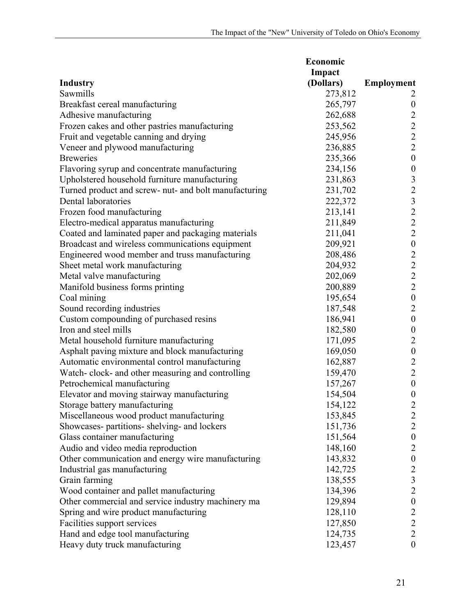|                                                       | Economic  |                                            |  |
|-------------------------------------------------------|-----------|--------------------------------------------|--|
|                                                       | Impact    |                                            |  |
| <b>Industry</b>                                       | (Dollars) | <b>Employment</b>                          |  |
| Sawmills                                              | 273,812   | 2                                          |  |
| Breakfast cereal manufacturing                        | 265,797   | $\boldsymbol{0}$                           |  |
| Adhesive manufacturing                                | 262,688   |                                            |  |
| Frozen cakes and other pastries manufacturing         | 253,562   | $\begin{array}{c} 2 \\ 2 \\ 2 \end{array}$ |  |
| Fruit and vegetable canning and drying                | 245,956   |                                            |  |
| Veneer and plywood manufacturing                      | 236,885   |                                            |  |
| <b>Breweries</b>                                      | 235,366   | $\boldsymbol{0}$                           |  |
| Flavoring syrup and concentrate manufacturing         | 234,156   | $\boldsymbol{0}$                           |  |
| Upholstered household furniture manufacturing         | 231,863   |                                            |  |
| Turned product and screw- nut- and bolt manufacturing | 231,702   | $\frac{3}{2}$                              |  |
| Dental laboratories                                   | 222,372   |                                            |  |
| Frozen food manufacturing                             | 213,141   |                                            |  |
| Electro-medical apparatus manufacturing               | 211,849   | $\begin{array}{c} 3 \\ 2 \\ 2 \end{array}$ |  |
| Coated and laminated paper and packaging materials    | 211,041   |                                            |  |
| Broadcast and wireless communications equipment       | 209,921   | $\boldsymbol{0}$                           |  |
| Engineered wood member and truss manufacturing        | 208,486   |                                            |  |
| Sheet metal work manufacturing                        | 204,932   | $\frac{2}{2}$                              |  |
| Metal valve manufacturing                             | 202,069   | $\overline{c}$                             |  |
| Manifold business forms printing                      | 200,889   | $\overline{2}$                             |  |
| Coal mining                                           | 195,654   | $\boldsymbol{0}$                           |  |
| Sound recording industries                            | 187,548   | $\sqrt{2}$                                 |  |
| Custom compounding of purchased resins                | 186,941   | $\boldsymbol{0}$                           |  |
| Iron and steel mills                                  | 182,580   | $\boldsymbol{0}$                           |  |
| Metal household furniture manufacturing               | 171,095   | $\sqrt{2}$                                 |  |
| Asphalt paving mixture and block manufacturing        | 169,050   | $\boldsymbol{0}$                           |  |
| Automatic environmental control manufacturing         | 162,887   |                                            |  |
| Watch-clock- and other measuring and controlling      | 159,470   | $\frac{2}{2}$                              |  |
| Petrochemical manufacturing                           | 157,267   | $\boldsymbol{0}$                           |  |
| Elevator and moving stairway manufacturing            | 154,504   | $\boldsymbol{0}$                           |  |
| Storage battery manufacturing                         | 154,122   | $\overline{2}$                             |  |
| Miscellaneous wood product manufacturing              | 153,845   | $\overline{2}$                             |  |
| Showcases- partitions- shelving- and lockers          | 151,736   | $\overline{c}$                             |  |
| Glass container manufacturing                         | 151,564   | $\boldsymbol{0}$                           |  |
| Audio and video media reproduction                    | 148,160   | $\overline{c}$                             |  |
| Other communication and energy wire manufacturing     | 143,832   | $\boldsymbol{0}$                           |  |
| Industrial gas manufacturing                          | 142,725   |                                            |  |
| Grain farming                                         | 138,555   | $\frac{2}{3}$                              |  |
| Wood container and pallet manufacturing               | 134,396   | $\overline{2}$                             |  |
| Other commercial and service industry machinery ma    | 129,894   | $\boldsymbol{0}$                           |  |
| Spring and wire product manufacturing                 | 128,110   | $\overline{c}$                             |  |
| Facilities support services                           | 127,850   | $\overline{c}$                             |  |
| Hand and edge tool manufacturing                      | 124,735   | $\overline{2}$                             |  |
| Heavy duty truck manufacturing                        | 123,457   | $\boldsymbol{0}$                           |  |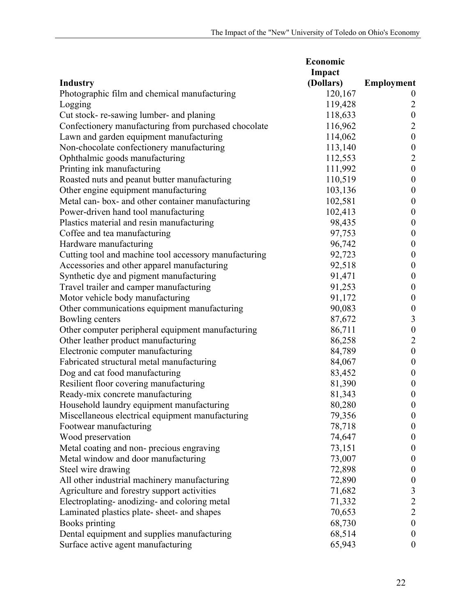|                                                       | Economic  |                         |
|-------------------------------------------------------|-----------|-------------------------|
|                                                       | Impact    |                         |
| <b>Industry</b>                                       | (Dollars) | <b>Employment</b>       |
| Photographic film and chemical manufacturing          | 120,167   | $\boldsymbol{0}$        |
| Logging                                               | 119,428   | $\overline{2}$          |
| Cut stock-re-sawing lumber- and planing               | 118,633   | $\boldsymbol{0}$        |
| Confectionery manufacturing from purchased chocolate  | 116,962   | $\overline{c}$          |
| Lawn and garden equipment manufacturing               | 114,062   | $\boldsymbol{0}$        |
| Non-chocolate confectionery manufacturing             | 113,140   | $\boldsymbol{0}$        |
| Ophthalmic goods manufacturing                        | 112,553   | $\sqrt{2}$              |
| Printing ink manufacturing                            | 111,992   | $\boldsymbol{0}$        |
| Roasted nuts and peanut butter manufacturing          | 110,519   | $\boldsymbol{0}$        |
| Other engine equipment manufacturing                  | 103,136   | $\boldsymbol{0}$        |
| Metal can-box- and other container manufacturing      | 102,581   | $\boldsymbol{0}$        |
| Power-driven hand tool manufacturing                  | 102,413   | $\boldsymbol{0}$        |
| Plastics material and resin manufacturing             | 98,435    | $\boldsymbol{0}$        |
| Coffee and tea manufacturing                          | 97,753    | $\boldsymbol{0}$        |
| Hardware manufacturing                                | 96,742    | $\boldsymbol{0}$        |
| Cutting tool and machine tool accessory manufacturing | 92,723    | $\boldsymbol{0}$        |
| Accessories and other apparel manufacturing           | 92,518    | $\boldsymbol{0}$        |
| Synthetic dye and pigment manufacturing               | 91,471    | $\boldsymbol{0}$        |
| Travel trailer and camper manufacturing               | 91,253    | $\boldsymbol{0}$        |
| Motor vehicle body manufacturing                      | 91,172    | $\boldsymbol{0}$        |
| Other communications equipment manufacturing          | 90,083    | $\boldsymbol{0}$        |
| Bowling centers                                       | 87,672    | $\overline{\mathbf{3}}$ |
| Other computer peripheral equipment manufacturing     | 86,711    | $\boldsymbol{0}$        |
| Other leather product manufacturing                   | 86,258    | $\overline{c}$          |
| Electronic computer manufacturing                     | 84,789    | $\boldsymbol{0}$        |
| Fabricated structural metal manufacturing             | 84,067    | $\boldsymbol{0}$        |
| Dog and cat food manufacturing                        | 83,452    | $\boldsymbol{0}$        |
| Resilient floor covering manufacturing                | 81,390    | $\boldsymbol{0}$        |
| Ready-mix concrete manufacturing                      | 81,343    | $\boldsymbol{0}$        |
| Household laundry equipment manufacturing             | 80,280    | $\boldsymbol{0}$        |
| Miscellaneous electrical equipment manufacturing      | 79,356    | $\boldsymbol{0}$        |
| Footwear manufacturing                                | 78,718    | $\boldsymbol{0}$        |
| Wood preservation                                     | 74,647    | $\boldsymbol{0}$        |
| Metal coating and non-precious engraving              | 73,151    | $\boldsymbol{0}$        |
| Metal window and door manufacturing                   | 73,007    | $\boldsymbol{0}$        |
| Steel wire drawing                                    | 72,898    | $\boldsymbol{0}$        |
| All other industrial machinery manufacturing          | 72,890    | $\boldsymbol{0}$        |
| Agriculture and forestry support activities           | 71,682    | 3                       |
| Electroplating- anodizing- and coloring metal         | 71,332    | $\overline{c}$          |
| Laminated plastics plate- sheet- and shapes           | 70,653    | $\overline{2}$          |
| <b>Books printing</b>                                 | 68,730    | $\boldsymbol{0}$        |
| Dental equipment and supplies manufacturing           | 68,514    | $\boldsymbol{0}$        |
| Surface active agent manufacturing                    | 65,943    | $\boldsymbol{0}$        |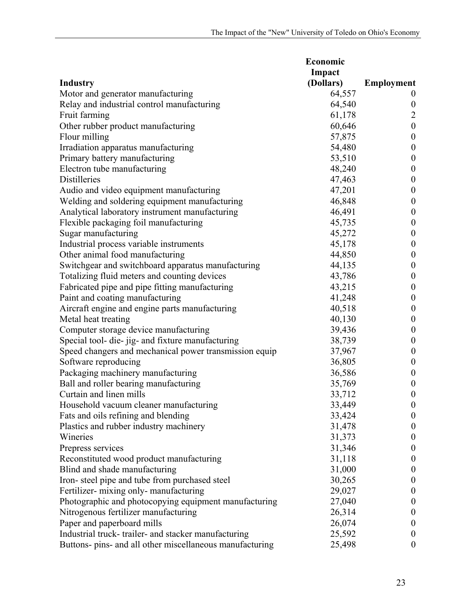|                                                          | Economic  |                   |
|----------------------------------------------------------|-----------|-------------------|
|                                                          | Impact    |                   |
| <b>Industry</b>                                          | (Dollars) | <b>Employment</b> |
| Motor and generator manufacturing                        | 64,557    | $\theta$          |
| Relay and industrial control manufacturing               | 64,540    | $\boldsymbol{0}$  |
| Fruit farming                                            | 61,178    | 2                 |
| Other rubber product manufacturing                       | 60,646    | $\boldsymbol{0}$  |
| Flour milling                                            | 57,875    | $\boldsymbol{0}$  |
| Irradiation apparatus manufacturing                      | 54,480    | $\boldsymbol{0}$  |
| Primary battery manufacturing                            | 53,510    | $\boldsymbol{0}$  |
| Electron tube manufacturing                              | 48,240    | $\boldsymbol{0}$  |
| <b>Distilleries</b>                                      | 47,463    | $\boldsymbol{0}$  |
| Audio and video equipment manufacturing                  | 47,201    | $\boldsymbol{0}$  |
| Welding and soldering equipment manufacturing            | 46,848    | $\boldsymbol{0}$  |
| Analytical laboratory instrument manufacturing           | 46,491    | $\boldsymbol{0}$  |
| Flexible packaging foil manufacturing                    | 45,735    | $\boldsymbol{0}$  |
| Sugar manufacturing                                      | 45,272    | $\boldsymbol{0}$  |
| Industrial process variable instruments                  | 45,178    | $\boldsymbol{0}$  |
| Other animal food manufacturing                          | 44,850    | $\boldsymbol{0}$  |
| Switchgear and switchboard apparatus manufacturing       | 44,135    | $\boldsymbol{0}$  |
| Totalizing fluid meters and counting devices             | 43,786    | $\boldsymbol{0}$  |
| Fabricated pipe and pipe fitting manufacturing           | 43,215    | $\boldsymbol{0}$  |
| Paint and coating manufacturing                          | 41,248    | $\boldsymbol{0}$  |
| Aircraft engine and engine parts manufacturing           | 40,518    | $\boldsymbol{0}$  |
| Metal heat treating                                      | 40,130    | $\boldsymbol{0}$  |
| Computer storage device manufacturing                    | 39,436    | $\boldsymbol{0}$  |
| Special tool- die- jig- and fixture manufacturing        | 38,739    | $\boldsymbol{0}$  |
| Speed changers and mechanical power transmission equip   | 37,967    | $\boldsymbol{0}$  |
| Software reproducing                                     | 36,805    | $\boldsymbol{0}$  |
| Packaging machinery manufacturing                        | 36,586    | $\boldsymbol{0}$  |
| Ball and roller bearing manufacturing                    | 35,769    | $\boldsymbol{0}$  |
| Curtain and linen mills                                  | 33,712    | $\boldsymbol{0}$  |
| Household vacuum cleaner manufacturing                   | 33,449    | $\boldsymbol{0}$  |
| Fats and oils refining and blending                      | 33,424    | $\boldsymbol{0}$  |
| Plastics and rubber industry machinery                   | 31,478    | $\boldsymbol{0}$  |
| Wineries                                                 | 31,373    | $\boldsymbol{0}$  |
| Prepress services                                        | 31,346    | $\boldsymbol{0}$  |
| Reconstituted wood product manufacturing                 | 31,118    | $\boldsymbol{0}$  |
| Blind and shade manufacturing                            | 31,000    | $\boldsymbol{0}$  |
| Iron-steel pipe and tube from purchased steel            | 30,265    | $\boldsymbol{0}$  |
| Fertilizer- mixing only- manufacturing                   | 29,027    | $\boldsymbol{0}$  |
| Photographic and photocopying equipment manufacturing    | 27,040    | $\boldsymbol{0}$  |
|                                                          |           |                   |
| Nitrogenous fertilizer manufacturing                     | 26,314    | $\boldsymbol{0}$  |
| Paper and paperboard mills                               | 26,074    | $\boldsymbol{0}$  |
| Industrial truck-trailer- and stacker manufacturing      | 25,592    | $\boldsymbol{0}$  |
| Buttons- pins- and all other miscellaneous manufacturing | 25,498    | $\boldsymbol{0}$  |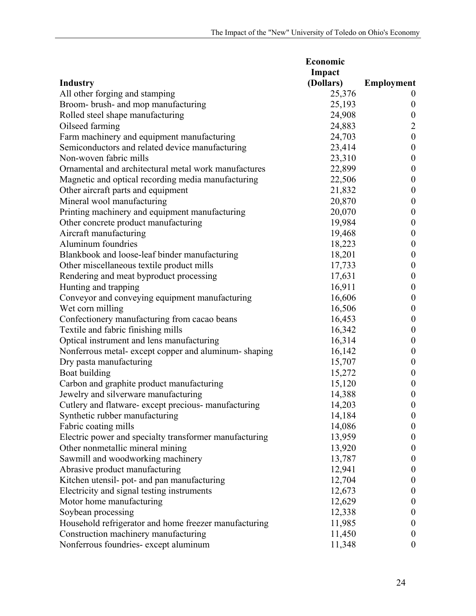|                                                        | Economic  |                   |
|--------------------------------------------------------|-----------|-------------------|
|                                                        | Impact    |                   |
| <b>Industry</b>                                        | (Dollars) | <b>Employment</b> |
| All other forging and stamping                         | 25,376    | $\theta$          |
| Broom- brush- and mop manufacturing                    | 25,193    | $\boldsymbol{0}$  |
| Rolled steel shape manufacturing                       | 24,908    | $\boldsymbol{0}$  |
| Oilseed farming                                        | 24,883    | $\overline{2}$    |
| Farm machinery and equipment manufacturing             | 24,703    | $\boldsymbol{0}$  |
| Semiconductors and related device manufacturing        | 23,414    | $\boldsymbol{0}$  |
| Non-woven fabric mills                                 | 23,310    | $\boldsymbol{0}$  |
| Ornamental and architectural metal work manufactures   | 22,899    | $\boldsymbol{0}$  |
| Magnetic and optical recording media manufacturing     | 22,506    | $\boldsymbol{0}$  |
| Other aircraft parts and equipment                     | 21,832    | $\boldsymbol{0}$  |
| Mineral wool manufacturing                             | 20,870    | $\boldsymbol{0}$  |
| Printing machinery and equipment manufacturing         | 20,070    | $\boldsymbol{0}$  |
| Other concrete product manufacturing                   | 19,984    | $\boldsymbol{0}$  |
| Aircraft manufacturing                                 | 19,468    | $\boldsymbol{0}$  |
| Aluminum foundries                                     | 18,223    | $\boldsymbol{0}$  |
| Blankbook and loose-leaf binder manufacturing          | 18,201    | $\boldsymbol{0}$  |
| Other miscellaneous textile product mills              | 17,733    | $\boldsymbol{0}$  |
| Rendering and meat byproduct processing                | 17,631    | $\boldsymbol{0}$  |
| Hunting and trapping                                   | 16,911    | $\boldsymbol{0}$  |
| Conveyor and conveying equipment manufacturing         | 16,606    | $\boldsymbol{0}$  |
| Wet corn milling                                       | 16,506    | $\boldsymbol{0}$  |
| Confectionery manufacturing from cacao beans           | 16,453    | $\boldsymbol{0}$  |
| Textile and fabric finishing mills                     | 16,342    | $\boldsymbol{0}$  |
| Optical instrument and lens manufacturing              | 16,314    | $\boldsymbol{0}$  |
| Nonferrous metal-except copper and aluminum-shaping    | 16,142    | $\boldsymbol{0}$  |
| Dry pasta manufacturing                                | 15,707    | $\boldsymbol{0}$  |
| Boat building                                          | 15,272    | $\boldsymbol{0}$  |
| Carbon and graphite product manufacturing              | 15,120    | $\boldsymbol{0}$  |
| Jewelry and silverware manufacturing                   | 14,388    | $\boldsymbol{0}$  |
| Cutlery and flatware- except precious- manufacturing   | 14,203    | $\boldsymbol{0}$  |
| Synthetic rubber manufacturing                         | 14,184    | $\boldsymbol{0}$  |
| Fabric coating mills                                   | 14,086    | $\boldsymbol{0}$  |
| Electric power and specialty transformer manufacturing | 13,959    | $\boldsymbol{0}$  |
| Other nonmetallic mineral mining                       | 13,920    | $\boldsymbol{0}$  |
| Sawmill and woodworking machinery                      | 13,787    | $\boldsymbol{0}$  |
| Abrasive product manufacturing                         | 12,941    | $\boldsymbol{0}$  |
| Kitchen utensil- pot- and pan manufacturing            | 12,704    | $\boldsymbol{0}$  |
| Electricity and signal testing instruments             | 12,673    | $\boldsymbol{0}$  |
| Motor home manufacturing                               | 12,629    | $\boldsymbol{0}$  |
| Soybean processing                                     | 12,338    | $\boldsymbol{0}$  |
| Household refrigerator and home freezer manufacturing  | 11,985    | $\boldsymbol{0}$  |
| Construction machinery manufacturing                   | 11,450    | $\boldsymbol{0}$  |
| Nonferrous foundries- except aluminum                  | 11,348    | $\boldsymbol{0}$  |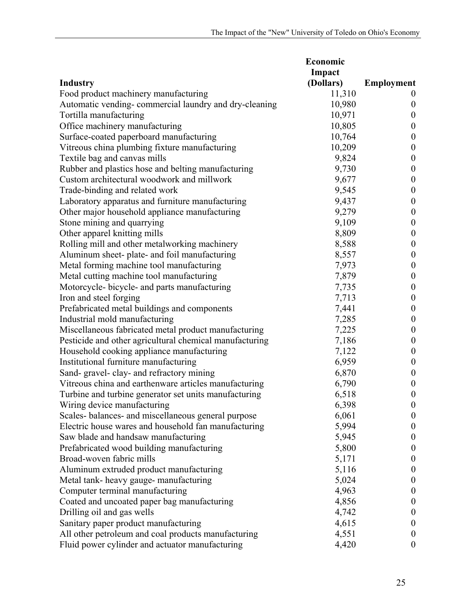|                                                         | Economic  |                   |
|---------------------------------------------------------|-----------|-------------------|
|                                                         | Impact    |                   |
| <b>Industry</b>                                         | (Dollars) | <b>Employment</b> |
| Food product machinery manufacturing                    | 11,310    | $\theta$          |
| Automatic vending-commercial laundry and dry-cleaning   | 10,980    | $\boldsymbol{0}$  |
| Tortilla manufacturing                                  | 10,971    | $\boldsymbol{0}$  |
| Office machinery manufacturing                          | 10,805    | $\boldsymbol{0}$  |
| Surface-coated paperboard manufacturing                 | 10,764    | $\boldsymbol{0}$  |
| Vitreous china plumbing fixture manufacturing           | 10,209    | $\boldsymbol{0}$  |
| Textile bag and canvas mills                            | 9,824     | $\boldsymbol{0}$  |
| Rubber and plastics hose and belting manufacturing      | 9,730     | $\boldsymbol{0}$  |
| Custom architectural woodwork and millwork              | 9,677     | $\boldsymbol{0}$  |
| Trade-binding and related work                          | 9,545     | $\boldsymbol{0}$  |
| Laboratory apparatus and furniture manufacturing        | 9,437     | $\boldsymbol{0}$  |
| Other major household appliance manufacturing           | 9,279     | $\boldsymbol{0}$  |
| Stone mining and quarrying                              | 9,109     | $\boldsymbol{0}$  |
| Other apparel knitting mills                            | 8,809     | $\boldsymbol{0}$  |
| Rolling mill and other metalworking machinery           | 8,588     | $\boldsymbol{0}$  |
| Aluminum sheet- plate- and foil manufacturing           | 8,557     | $\boldsymbol{0}$  |
| Metal forming machine tool manufacturing                | 7,973     | $\boldsymbol{0}$  |
| Metal cutting machine tool manufacturing                | 7,879     | $\boldsymbol{0}$  |
| Motorcycle-bicycle- and parts manufacturing             | 7,735     | $\boldsymbol{0}$  |
| Iron and steel forging                                  | 7,713     | $\boldsymbol{0}$  |
| Prefabricated metal buildings and components            | 7,441     | $\boldsymbol{0}$  |
| Industrial mold manufacturing                           | 7,285     | $\boldsymbol{0}$  |
| Miscellaneous fabricated metal product manufacturing    | 7,225     | $\boldsymbol{0}$  |
| Pesticide and other agricultural chemical manufacturing | 7,186     | $\boldsymbol{0}$  |
| Household cooking appliance manufacturing               | 7,122     | $\boldsymbol{0}$  |
| Institutional furniture manufacturing                   | 6,959     | $\boldsymbol{0}$  |
| Sand-gravel-clay- and refractory mining                 | 6,870     | $\boldsymbol{0}$  |
| Vitreous china and earthenware articles manufacturing   | 6,790     | $\boldsymbol{0}$  |
| Turbine and turbine generator set units manufacturing   | 6,518     | $\boldsymbol{0}$  |
| Wiring device manufacturing                             | 6,398     | $\boldsymbol{0}$  |
| Scales-balances- and miscellaneous general purpose      | 6,061     | $\boldsymbol{0}$  |
| Electric house wares and household fan manufacturing    | 5,994     | $\boldsymbol{0}$  |
| Saw blade and handsaw manufacturing                     | 5,945     | $\boldsymbol{0}$  |
| Prefabricated wood building manufacturing               | 5,800     | $\boldsymbol{0}$  |
| Broad-woven fabric mills                                | 5,171     | $\boldsymbol{0}$  |
| Aluminum extruded product manufacturing                 | 5,116     | $\theta$          |
| Metal tank- heavy gauge- manufacturing                  | 5,024     | $\theta$          |
| Computer terminal manufacturing                         | 4,963     | $\boldsymbol{0}$  |
| Coated and uncoated paper bag manufacturing             | 4,856     | $\boldsymbol{0}$  |
| Drilling oil and gas wells                              | 4,742     | $\theta$          |
| Sanitary paper product manufacturing                    | 4,615     | $\boldsymbol{0}$  |
| All other petroleum and coal products manufacturing     | 4,551     | $\boldsymbol{0}$  |
| Fluid power cylinder and actuator manufacturing         | 4,420     | $\boldsymbol{0}$  |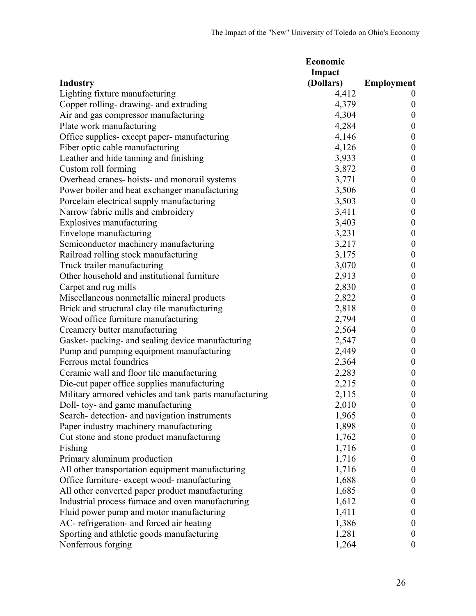| Impact<br>(Dollars)<br><b>Employment</b><br>Lighting fixture manufacturing<br>4,412<br>$\theta$<br>Copper rolling-drawing- and extruding<br>4,379<br>$\boldsymbol{0}$<br>Air and gas compressor manufacturing<br>4,304<br>$\boldsymbol{0}$<br>Plate work manufacturing<br>4,284<br>$\boldsymbol{0}$<br>Office supplies- except paper- manufacturing<br>4,146<br>$\boldsymbol{0}$<br>Fiber optic cable manufacturing<br>4,126<br>$\boldsymbol{0}$<br>Leather and hide tanning and finishing<br>3,933<br>$\boldsymbol{0}$<br>Custom roll forming<br>3,872<br>$\boldsymbol{0}$<br>Overhead cranes-hoists- and monorail systems<br>3,771<br>$\boldsymbol{0}$<br>Power boiler and heat exchanger manufacturing<br>3,506<br>$\boldsymbol{0}$<br>Porcelain electrical supply manufacturing<br>3,503<br>$\boldsymbol{0}$<br>Narrow fabric mills and embroidery<br>3,411<br>$\boldsymbol{0}$<br>$\boldsymbol{0}$<br>Explosives manufacturing<br>3,403<br>Envelope manufacturing<br>3,231<br>$\boldsymbol{0}$<br>Semiconductor machinery manufacturing<br>3,217<br>$\boldsymbol{0}$<br>Railroad rolling stock manufacturing<br>3,175<br>$\boldsymbol{0}$<br>Truck trailer manufacturing<br>3,070<br>$\boldsymbol{0}$<br>Other household and institutional furniture<br>2,913<br>$\boldsymbol{0}$<br>2,830<br>Carpet and rug mills<br>$\boldsymbol{0}$<br>Miscellaneous nonmetallic mineral products<br>2,822<br>$\boldsymbol{0}$<br>Brick and structural clay tile manufacturing<br>2,818<br>$\boldsymbol{0}$<br>Wood office furniture manufacturing<br>2,794<br>$\boldsymbol{0}$<br>Creamery butter manufacturing<br>2,564<br>$\boldsymbol{0}$<br>Gasket- packing- and sealing device manufacturing<br>2,547<br>$\boldsymbol{0}$<br>2,449<br>Pump and pumping equipment manufacturing<br>$\boldsymbol{0}$<br>Ferrous metal foundries<br>2,364<br>$\boldsymbol{0}$<br>Ceramic wall and floor tile manufacturing<br>2,283<br>$\boldsymbol{0}$<br>Die-cut paper office supplies manufacturing<br>2,215<br>$\boldsymbol{0}$<br>Military armored vehicles and tank parts manufacturing<br>2,115<br>$\boldsymbol{0}$<br>$\boldsymbol{0}$<br>Doll- toy- and game manufacturing<br>2,010<br>Search- detection- and navigation instruments<br>1,965<br>$\boldsymbol{0}$<br>Paper industry machinery manufacturing<br>1,898<br>$\boldsymbol{0}$<br>Cut stone and stone product manufacturing<br>1,762<br>$\boldsymbol{0}$<br>1,716<br>Fishing<br>$\boldsymbol{0}$<br>Primary aluminum production<br>1,716<br>$\boldsymbol{0}$<br>All other transportation equipment manufacturing<br>1,716<br>$\boldsymbol{0}$<br>Office furniture-except wood-manufacturing<br>1,688<br>$\boldsymbol{0}$<br>All other converted paper product manufacturing<br>1,685<br>$\boldsymbol{0}$<br>Industrial process furnace and oven manufacturing<br>1,612<br>$\boldsymbol{0}$ |                                           | Economic |                  |
|------------------------------------------------------------------------------------------------------------------------------------------------------------------------------------------------------------------------------------------------------------------------------------------------------------------------------------------------------------------------------------------------------------------------------------------------------------------------------------------------------------------------------------------------------------------------------------------------------------------------------------------------------------------------------------------------------------------------------------------------------------------------------------------------------------------------------------------------------------------------------------------------------------------------------------------------------------------------------------------------------------------------------------------------------------------------------------------------------------------------------------------------------------------------------------------------------------------------------------------------------------------------------------------------------------------------------------------------------------------------------------------------------------------------------------------------------------------------------------------------------------------------------------------------------------------------------------------------------------------------------------------------------------------------------------------------------------------------------------------------------------------------------------------------------------------------------------------------------------------------------------------------------------------------------------------------------------------------------------------------------------------------------------------------------------------------------------------------------------------------------------------------------------------------------------------------------------------------------------------------------------------------------------------------------------------------------------------------------------------------------------------------------------------------------------------------------------------------------------------------------------------------------------------------------------------------------------------------------------------------------------------------------------------------------------------------------------------------------------------------------------------------------------------------------------------------------------------|-------------------------------------------|----------|------------------|
|                                                                                                                                                                                                                                                                                                                                                                                                                                                                                                                                                                                                                                                                                                                                                                                                                                                                                                                                                                                                                                                                                                                                                                                                                                                                                                                                                                                                                                                                                                                                                                                                                                                                                                                                                                                                                                                                                                                                                                                                                                                                                                                                                                                                                                                                                                                                                                                                                                                                                                                                                                                                                                                                                                                                                                                                                                          |                                           |          |                  |
|                                                                                                                                                                                                                                                                                                                                                                                                                                                                                                                                                                                                                                                                                                                                                                                                                                                                                                                                                                                                                                                                                                                                                                                                                                                                                                                                                                                                                                                                                                                                                                                                                                                                                                                                                                                                                                                                                                                                                                                                                                                                                                                                                                                                                                                                                                                                                                                                                                                                                                                                                                                                                                                                                                                                                                                                                                          | <b>Industry</b>                           |          |                  |
|                                                                                                                                                                                                                                                                                                                                                                                                                                                                                                                                                                                                                                                                                                                                                                                                                                                                                                                                                                                                                                                                                                                                                                                                                                                                                                                                                                                                                                                                                                                                                                                                                                                                                                                                                                                                                                                                                                                                                                                                                                                                                                                                                                                                                                                                                                                                                                                                                                                                                                                                                                                                                                                                                                                                                                                                                                          |                                           |          |                  |
|                                                                                                                                                                                                                                                                                                                                                                                                                                                                                                                                                                                                                                                                                                                                                                                                                                                                                                                                                                                                                                                                                                                                                                                                                                                                                                                                                                                                                                                                                                                                                                                                                                                                                                                                                                                                                                                                                                                                                                                                                                                                                                                                                                                                                                                                                                                                                                                                                                                                                                                                                                                                                                                                                                                                                                                                                                          |                                           |          |                  |
|                                                                                                                                                                                                                                                                                                                                                                                                                                                                                                                                                                                                                                                                                                                                                                                                                                                                                                                                                                                                                                                                                                                                                                                                                                                                                                                                                                                                                                                                                                                                                                                                                                                                                                                                                                                                                                                                                                                                                                                                                                                                                                                                                                                                                                                                                                                                                                                                                                                                                                                                                                                                                                                                                                                                                                                                                                          |                                           |          |                  |
|                                                                                                                                                                                                                                                                                                                                                                                                                                                                                                                                                                                                                                                                                                                                                                                                                                                                                                                                                                                                                                                                                                                                                                                                                                                                                                                                                                                                                                                                                                                                                                                                                                                                                                                                                                                                                                                                                                                                                                                                                                                                                                                                                                                                                                                                                                                                                                                                                                                                                                                                                                                                                                                                                                                                                                                                                                          |                                           |          |                  |
|                                                                                                                                                                                                                                                                                                                                                                                                                                                                                                                                                                                                                                                                                                                                                                                                                                                                                                                                                                                                                                                                                                                                                                                                                                                                                                                                                                                                                                                                                                                                                                                                                                                                                                                                                                                                                                                                                                                                                                                                                                                                                                                                                                                                                                                                                                                                                                                                                                                                                                                                                                                                                                                                                                                                                                                                                                          |                                           |          |                  |
|                                                                                                                                                                                                                                                                                                                                                                                                                                                                                                                                                                                                                                                                                                                                                                                                                                                                                                                                                                                                                                                                                                                                                                                                                                                                                                                                                                                                                                                                                                                                                                                                                                                                                                                                                                                                                                                                                                                                                                                                                                                                                                                                                                                                                                                                                                                                                                                                                                                                                                                                                                                                                                                                                                                                                                                                                                          |                                           |          |                  |
|                                                                                                                                                                                                                                                                                                                                                                                                                                                                                                                                                                                                                                                                                                                                                                                                                                                                                                                                                                                                                                                                                                                                                                                                                                                                                                                                                                                                                                                                                                                                                                                                                                                                                                                                                                                                                                                                                                                                                                                                                                                                                                                                                                                                                                                                                                                                                                                                                                                                                                                                                                                                                                                                                                                                                                                                                                          |                                           |          |                  |
|                                                                                                                                                                                                                                                                                                                                                                                                                                                                                                                                                                                                                                                                                                                                                                                                                                                                                                                                                                                                                                                                                                                                                                                                                                                                                                                                                                                                                                                                                                                                                                                                                                                                                                                                                                                                                                                                                                                                                                                                                                                                                                                                                                                                                                                                                                                                                                                                                                                                                                                                                                                                                                                                                                                                                                                                                                          |                                           |          |                  |
|                                                                                                                                                                                                                                                                                                                                                                                                                                                                                                                                                                                                                                                                                                                                                                                                                                                                                                                                                                                                                                                                                                                                                                                                                                                                                                                                                                                                                                                                                                                                                                                                                                                                                                                                                                                                                                                                                                                                                                                                                                                                                                                                                                                                                                                                                                                                                                                                                                                                                                                                                                                                                                                                                                                                                                                                                                          |                                           |          |                  |
|                                                                                                                                                                                                                                                                                                                                                                                                                                                                                                                                                                                                                                                                                                                                                                                                                                                                                                                                                                                                                                                                                                                                                                                                                                                                                                                                                                                                                                                                                                                                                                                                                                                                                                                                                                                                                                                                                                                                                                                                                                                                                                                                                                                                                                                                                                                                                                                                                                                                                                                                                                                                                                                                                                                                                                                                                                          |                                           |          |                  |
|                                                                                                                                                                                                                                                                                                                                                                                                                                                                                                                                                                                                                                                                                                                                                                                                                                                                                                                                                                                                                                                                                                                                                                                                                                                                                                                                                                                                                                                                                                                                                                                                                                                                                                                                                                                                                                                                                                                                                                                                                                                                                                                                                                                                                                                                                                                                                                                                                                                                                                                                                                                                                                                                                                                                                                                                                                          |                                           |          |                  |
|                                                                                                                                                                                                                                                                                                                                                                                                                                                                                                                                                                                                                                                                                                                                                                                                                                                                                                                                                                                                                                                                                                                                                                                                                                                                                                                                                                                                                                                                                                                                                                                                                                                                                                                                                                                                                                                                                                                                                                                                                                                                                                                                                                                                                                                                                                                                                                                                                                                                                                                                                                                                                                                                                                                                                                                                                                          |                                           |          |                  |
|                                                                                                                                                                                                                                                                                                                                                                                                                                                                                                                                                                                                                                                                                                                                                                                                                                                                                                                                                                                                                                                                                                                                                                                                                                                                                                                                                                                                                                                                                                                                                                                                                                                                                                                                                                                                                                                                                                                                                                                                                                                                                                                                                                                                                                                                                                                                                                                                                                                                                                                                                                                                                                                                                                                                                                                                                                          |                                           |          |                  |
|                                                                                                                                                                                                                                                                                                                                                                                                                                                                                                                                                                                                                                                                                                                                                                                                                                                                                                                                                                                                                                                                                                                                                                                                                                                                                                                                                                                                                                                                                                                                                                                                                                                                                                                                                                                                                                                                                                                                                                                                                                                                                                                                                                                                                                                                                                                                                                                                                                                                                                                                                                                                                                                                                                                                                                                                                                          |                                           |          |                  |
|                                                                                                                                                                                                                                                                                                                                                                                                                                                                                                                                                                                                                                                                                                                                                                                                                                                                                                                                                                                                                                                                                                                                                                                                                                                                                                                                                                                                                                                                                                                                                                                                                                                                                                                                                                                                                                                                                                                                                                                                                                                                                                                                                                                                                                                                                                                                                                                                                                                                                                                                                                                                                                                                                                                                                                                                                                          |                                           |          |                  |
|                                                                                                                                                                                                                                                                                                                                                                                                                                                                                                                                                                                                                                                                                                                                                                                                                                                                                                                                                                                                                                                                                                                                                                                                                                                                                                                                                                                                                                                                                                                                                                                                                                                                                                                                                                                                                                                                                                                                                                                                                                                                                                                                                                                                                                                                                                                                                                                                                                                                                                                                                                                                                                                                                                                                                                                                                                          |                                           |          |                  |
|                                                                                                                                                                                                                                                                                                                                                                                                                                                                                                                                                                                                                                                                                                                                                                                                                                                                                                                                                                                                                                                                                                                                                                                                                                                                                                                                                                                                                                                                                                                                                                                                                                                                                                                                                                                                                                                                                                                                                                                                                                                                                                                                                                                                                                                                                                                                                                                                                                                                                                                                                                                                                                                                                                                                                                                                                                          |                                           |          |                  |
|                                                                                                                                                                                                                                                                                                                                                                                                                                                                                                                                                                                                                                                                                                                                                                                                                                                                                                                                                                                                                                                                                                                                                                                                                                                                                                                                                                                                                                                                                                                                                                                                                                                                                                                                                                                                                                                                                                                                                                                                                                                                                                                                                                                                                                                                                                                                                                                                                                                                                                                                                                                                                                                                                                                                                                                                                                          |                                           |          |                  |
|                                                                                                                                                                                                                                                                                                                                                                                                                                                                                                                                                                                                                                                                                                                                                                                                                                                                                                                                                                                                                                                                                                                                                                                                                                                                                                                                                                                                                                                                                                                                                                                                                                                                                                                                                                                                                                                                                                                                                                                                                                                                                                                                                                                                                                                                                                                                                                                                                                                                                                                                                                                                                                                                                                                                                                                                                                          |                                           |          |                  |
|                                                                                                                                                                                                                                                                                                                                                                                                                                                                                                                                                                                                                                                                                                                                                                                                                                                                                                                                                                                                                                                                                                                                                                                                                                                                                                                                                                                                                                                                                                                                                                                                                                                                                                                                                                                                                                                                                                                                                                                                                                                                                                                                                                                                                                                                                                                                                                                                                                                                                                                                                                                                                                                                                                                                                                                                                                          |                                           |          |                  |
|                                                                                                                                                                                                                                                                                                                                                                                                                                                                                                                                                                                                                                                                                                                                                                                                                                                                                                                                                                                                                                                                                                                                                                                                                                                                                                                                                                                                                                                                                                                                                                                                                                                                                                                                                                                                                                                                                                                                                                                                                                                                                                                                                                                                                                                                                                                                                                                                                                                                                                                                                                                                                                                                                                                                                                                                                                          |                                           |          |                  |
|                                                                                                                                                                                                                                                                                                                                                                                                                                                                                                                                                                                                                                                                                                                                                                                                                                                                                                                                                                                                                                                                                                                                                                                                                                                                                                                                                                                                                                                                                                                                                                                                                                                                                                                                                                                                                                                                                                                                                                                                                                                                                                                                                                                                                                                                                                                                                                                                                                                                                                                                                                                                                                                                                                                                                                                                                                          |                                           |          |                  |
|                                                                                                                                                                                                                                                                                                                                                                                                                                                                                                                                                                                                                                                                                                                                                                                                                                                                                                                                                                                                                                                                                                                                                                                                                                                                                                                                                                                                                                                                                                                                                                                                                                                                                                                                                                                                                                                                                                                                                                                                                                                                                                                                                                                                                                                                                                                                                                                                                                                                                                                                                                                                                                                                                                                                                                                                                                          |                                           |          |                  |
|                                                                                                                                                                                                                                                                                                                                                                                                                                                                                                                                                                                                                                                                                                                                                                                                                                                                                                                                                                                                                                                                                                                                                                                                                                                                                                                                                                                                                                                                                                                                                                                                                                                                                                                                                                                                                                                                                                                                                                                                                                                                                                                                                                                                                                                                                                                                                                                                                                                                                                                                                                                                                                                                                                                                                                                                                                          |                                           |          |                  |
|                                                                                                                                                                                                                                                                                                                                                                                                                                                                                                                                                                                                                                                                                                                                                                                                                                                                                                                                                                                                                                                                                                                                                                                                                                                                                                                                                                                                                                                                                                                                                                                                                                                                                                                                                                                                                                                                                                                                                                                                                                                                                                                                                                                                                                                                                                                                                                                                                                                                                                                                                                                                                                                                                                                                                                                                                                          |                                           |          |                  |
|                                                                                                                                                                                                                                                                                                                                                                                                                                                                                                                                                                                                                                                                                                                                                                                                                                                                                                                                                                                                                                                                                                                                                                                                                                                                                                                                                                                                                                                                                                                                                                                                                                                                                                                                                                                                                                                                                                                                                                                                                                                                                                                                                                                                                                                                                                                                                                                                                                                                                                                                                                                                                                                                                                                                                                                                                                          |                                           |          |                  |
|                                                                                                                                                                                                                                                                                                                                                                                                                                                                                                                                                                                                                                                                                                                                                                                                                                                                                                                                                                                                                                                                                                                                                                                                                                                                                                                                                                                                                                                                                                                                                                                                                                                                                                                                                                                                                                                                                                                                                                                                                                                                                                                                                                                                                                                                                                                                                                                                                                                                                                                                                                                                                                                                                                                                                                                                                                          |                                           |          |                  |
|                                                                                                                                                                                                                                                                                                                                                                                                                                                                                                                                                                                                                                                                                                                                                                                                                                                                                                                                                                                                                                                                                                                                                                                                                                                                                                                                                                                                                                                                                                                                                                                                                                                                                                                                                                                                                                                                                                                                                                                                                                                                                                                                                                                                                                                                                                                                                                                                                                                                                                                                                                                                                                                                                                                                                                                                                                          |                                           |          |                  |
|                                                                                                                                                                                                                                                                                                                                                                                                                                                                                                                                                                                                                                                                                                                                                                                                                                                                                                                                                                                                                                                                                                                                                                                                                                                                                                                                                                                                                                                                                                                                                                                                                                                                                                                                                                                                                                                                                                                                                                                                                                                                                                                                                                                                                                                                                                                                                                                                                                                                                                                                                                                                                                                                                                                                                                                                                                          |                                           |          |                  |
|                                                                                                                                                                                                                                                                                                                                                                                                                                                                                                                                                                                                                                                                                                                                                                                                                                                                                                                                                                                                                                                                                                                                                                                                                                                                                                                                                                                                                                                                                                                                                                                                                                                                                                                                                                                                                                                                                                                                                                                                                                                                                                                                                                                                                                                                                                                                                                                                                                                                                                                                                                                                                                                                                                                                                                                                                                          |                                           |          |                  |
|                                                                                                                                                                                                                                                                                                                                                                                                                                                                                                                                                                                                                                                                                                                                                                                                                                                                                                                                                                                                                                                                                                                                                                                                                                                                                                                                                                                                                                                                                                                                                                                                                                                                                                                                                                                                                                                                                                                                                                                                                                                                                                                                                                                                                                                                                                                                                                                                                                                                                                                                                                                                                                                                                                                                                                                                                                          |                                           |          |                  |
|                                                                                                                                                                                                                                                                                                                                                                                                                                                                                                                                                                                                                                                                                                                                                                                                                                                                                                                                                                                                                                                                                                                                                                                                                                                                                                                                                                                                                                                                                                                                                                                                                                                                                                                                                                                                                                                                                                                                                                                                                                                                                                                                                                                                                                                                                                                                                                                                                                                                                                                                                                                                                                                                                                                                                                                                                                          |                                           |          |                  |
|                                                                                                                                                                                                                                                                                                                                                                                                                                                                                                                                                                                                                                                                                                                                                                                                                                                                                                                                                                                                                                                                                                                                                                                                                                                                                                                                                                                                                                                                                                                                                                                                                                                                                                                                                                                                                                                                                                                                                                                                                                                                                                                                                                                                                                                                                                                                                                                                                                                                                                                                                                                                                                                                                                                                                                                                                                          |                                           |          |                  |
|                                                                                                                                                                                                                                                                                                                                                                                                                                                                                                                                                                                                                                                                                                                                                                                                                                                                                                                                                                                                                                                                                                                                                                                                                                                                                                                                                                                                                                                                                                                                                                                                                                                                                                                                                                                                                                                                                                                                                                                                                                                                                                                                                                                                                                                                                                                                                                                                                                                                                                                                                                                                                                                                                                                                                                                                                                          |                                           |          |                  |
|                                                                                                                                                                                                                                                                                                                                                                                                                                                                                                                                                                                                                                                                                                                                                                                                                                                                                                                                                                                                                                                                                                                                                                                                                                                                                                                                                                                                                                                                                                                                                                                                                                                                                                                                                                                                                                                                                                                                                                                                                                                                                                                                                                                                                                                                                                                                                                                                                                                                                                                                                                                                                                                                                                                                                                                                                                          |                                           |          |                  |
|                                                                                                                                                                                                                                                                                                                                                                                                                                                                                                                                                                                                                                                                                                                                                                                                                                                                                                                                                                                                                                                                                                                                                                                                                                                                                                                                                                                                                                                                                                                                                                                                                                                                                                                                                                                                                                                                                                                                                                                                                                                                                                                                                                                                                                                                                                                                                                                                                                                                                                                                                                                                                                                                                                                                                                                                                                          |                                           |          |                  |
|                                                                                                                                                                                                                                                                                                                                                                                                                                                                                                                                                                                                                                                                                                                                                                                                                                                                                                                                                                                                                                                                                                                                                                                                                                                                                                                                                                                                                                                                                                                                                                                                                                                                                                                                                                                                                                                                                                                                                                                                                                                                                                                                                                                                                                                                                                                                                                                                                                                                                                                                                                                                                                                                                                                                                                                                                                          |                                           |          |                  |
|                                                                                                                                                                                                                                                                                                                                                                                                                                                                                                                                                                                                                                                                                                                                                                                                                                                                                                                                                                                                                                                                                                                                                                                                                                                                                                                                                                                                                                                                                                                                                                                                                                                                                                                                                                                                                                                                                                                                                                                                                                                                                                                                                                                                                                                                                                                                                                                                                                                                                                                                                                                                                                                                                                                                                                                                                                          |                                           |          |                  |
|                                                                                                                                                                                                                                                                                                                                                                                                                                                                                                                                                                                                                                                                                                                                                                                                                                                                                                                                                                                                                                                                                                                                                                                                                                                                                                                                                                                                                                                                                                                                                                                                                                                                                                                                                                                                                                                                                                                                                                                                                                                                                                                                                                                                                                                                                                                                                                                                                                                                                                                                                                                                                                                                                                                                                                                                                                          |                                           |          |                  |
|                                                                                                                                                                                                                                                                                                                                                                                                                                                                                                                                                                                                                                                                                                                                                                                                                                                                                                                                                                                                                                                                                                                                                                                                                                                                                                                                                                                                                                                                                                                                                                                                                                                                                                                                                                                                                                                                                                                                                                                                                                                                                                                                                                                                                                                                                                                                                                                                                                                                                                                                                                                                                                                                                                                                                                                                                                          | Fluid power pump and motor manufacturing  | 1,411    | $\boldsymbol{0}$ |
| 1,386<br>$\boldsymbol{0}$                                                                                                                                                                                                                                                                                                                                                                                                                                                                                                                                                                                                                                                                                                                                                                                                                                                                                                                                                                                                                                                                                                                                                                                                                                                                                                                                                                                                                                                                                                                                                                                                                                                                                                                                                                                                                                                                                                                                                                                                                                                                                                                                                                                                                                                                                                                                                                                                                                                                                                                                                                                                                                                                                                                                                                                                                | AC- refrigeration- and forced air heating |          |                  |
| 1,281<br>$\boldsymbol{0}$                                                                                                                                                                                                                                                                                                                                                                                                                                                                                                                                                                                                                                                                                                                                                                                                                                                                                                                                                                                                                                                                                                                                                                                                                                                                                                                                                                                                                                                                                                                                                                                                                                                                                                                                                                                                                                                                                                                                                                                                                                                                                                                                                                                                                                                                                                                                                                                                                                                                                                                                                                                                                                                                                                                                                                                                                | Sporting and athletic goods manufacturing |          |                  |
| 1,264<br>$\boldsymbol{0}$                                                                                                                                                                                                                                                                                                                                                                                                                                                                                                                                                                                                                                                                                                                                                                                                                                                                                                                                                                                                                                                                                                                                                                                                                                                                                                                                                                                                                                                                                                                                                                                                                                                                                                                                                                                                                                                                                                                                                                                                                                                                                                                                                                                                                                                                                                                                                                                                                                                                                                                                                                                                                                                                                                                                                                                                                | Nonferrous forging                        |          |                  |